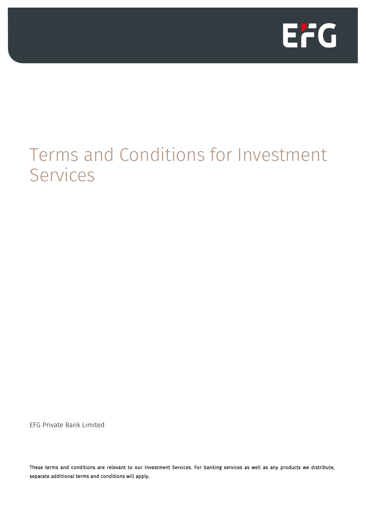

# Terms and Conditions for Investment Services

EFG Private Bank Limited

These terms and conditions are relevant to our Investment Services. For banking services as well as any products we distribute, separate additional terms and conditions will apply.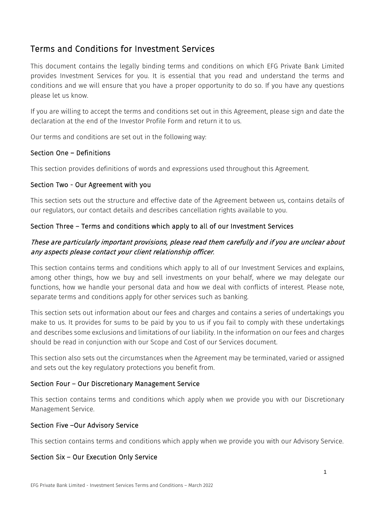# Terms and Conditions for Investment Services

This document contains the legally binding terms and conditions on which EFG Private Bank Limited provides Investment Services for you. It is essential that you read and understand the terms and conditions and we will ensure that you have a proper opportunity to do so. If you have any questions please let us know.

If you are willing to accept the terms and conditions set out in this Agreement, please sign and date the declaration at the end of the Investor Profile Form and return it to us.

Our terms and conditions are set out in the following way:

## Section One – Definitions

This section provides definitions of words and expressions used throughout this Agreement.

#### Section Two - Our Agreement with you

This section sets out the structure and effective date of the Agreement between us, contains details of our regulators, our contact details and describes cancellation rights available to you.

## Section Three – Terms and conditions which apply to all of our Investment Services

# These are particularly important provisions, please read them carefully and if you are unclear about any aspects please contact your client relationship officer.

This section contains terms and conditions which apply to all of our Investment Services and explains, among other things, how we buy and sell investments on your behalf, where we may delegate our functions, how we handle your personal data and how we deal with conflicts of interest. Please note, separate terms and conditions apply for other services such as banking.

This section sets out information about our fees and charges and contains a series of undertakings you make to us. It provides for sums to be paid by you to us if you fail to comply with these undertakings and describes some exclusions and limitations of our liability. In the information on our fees and charges should be read in conjunction with our Scope and Cost of our Services document.

This section also sets out the circumstances when the Agreement may be terminated, varied or assigned and sets out the key regulatory protections you benefit from.

## Section Four – Our Discretionary Management Service

This section contains terms and conditions which apply when we provide you with our Discretionary Management Service.

#### Section Five –Our Advisory Service

This section contains terms and conditions which apply when we provide you with our Advisory Service.

## Section Six – Our Execution Only Service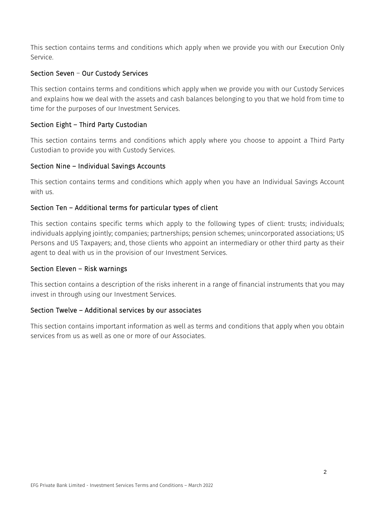This section contains terms and conditions which apply when we provide you with our Execution Only Service.

## Section Seven – Our Custody Services

This section contains terms and conditions which apply when we provide you with our Custody Services and explains how we deal with the assets and cash balances belonging to you that we hold from time to time for the purposes of our Investment Services.

# Section Eight – Third Party Custodian

This section contains terms and conditions which apply where you choose to appoint a Third Party Custodian to provide you with Custody Services.

## Section Nine – Individual Savings Accounts

This section contains terms and conditions which apply when you have an Individual Savings Account with us.

## Section Ten – Additional terms for particular types of client

This section contains specific terms which apply to the following types of client: trusts; individuals; individuals applying jointly; companies; partnerships; pension schemes; unincorporated associations; US Persons and US Taxpayers; and, those clients who appoint an intermediary or other third party as their agent to deal with us in the provision of our Investment Services.

## Section Eleven – Risk warnings

This section contains a description of the risks inherent in a range of financial instruments that you may invest in through using our Investment Services.

## Section Twelve – Additional services by our associates

This section contains important information as well as terms and conditions that apply when you obtain services from us as well as one or more of our Associates.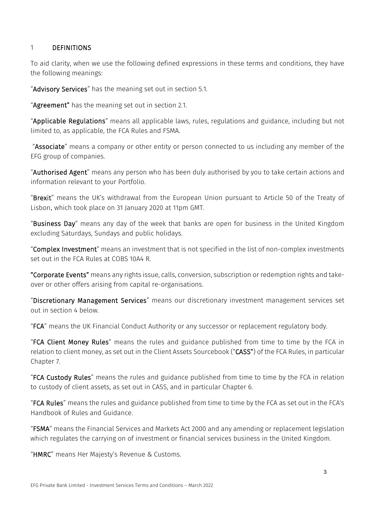## 1 DEFINITIONS

To aid clarity, when we use the following defined expressions in these terms and conditions, they have the following meanings:

"Advisory Services" has the meaning set out in section 5.1.

"Agreement" has the meaning set out in section [2.1.](#page-5-0)

"Applicable Regulations" means all applicable laws, rules, regulations and guidance, including but not limited to, as applicable, the FCA Rules and FSMA.

"Associate" means a company or other entity or person connected to us including any member of the EFG group of companies.

"Authorised Agent" means any person who has been duly authorised by you to take certain actions and information relevant to your Portfolio.

"Brexit" means the UK's withdrawal from the European Union pursuant to Article 50 of the Treaty of Lisbon, which took place on 31 January 2020 at 11pm GMT.

"Business Day" means any day of the week that banks are open for business in the United Kingdom excluding Saturdays, Sundays and public holidays.

"Complex Investment" means an investment that is not specified in the list of non-complex investments set out in the FCA Rules at COBS 10A4 R.

"Corporate Events" means any rights issue, calls, conversion, subscription or redemption rights and takeover or other offers arising from capital re-organisations.

"Discretionary Management Services" means our discretionary investment management services set out in section 4 below.

"FCA" means the UK Financial Conduct Authority or any successor or replacement regulatory body.

"FCA Client Money Rules" means the rules and guidance published from time to time by the FCA in relation to client money, as set out in the Client Assets Sourcebook ("CASS") of the FCA Rules, in particular Chapter 7.

"FCA Custody Rules" means the rules and guidance published from time to time by the FCA in relation to custody of client assets, as set out in CASS, and in particular Chapter 6.

"FCA Rules" means the rules and guidance published from time to time by the FCA as set out in the FCA's Handbook of Rules and Guidance.

"FSMA" means the Financial Services and Markets Act 2000 and any amending or replacement legislation which regulates the carrying on of investment or financial services business in the United Kingdom.

"HMRC" means Her Majesty's Revenue & Customs.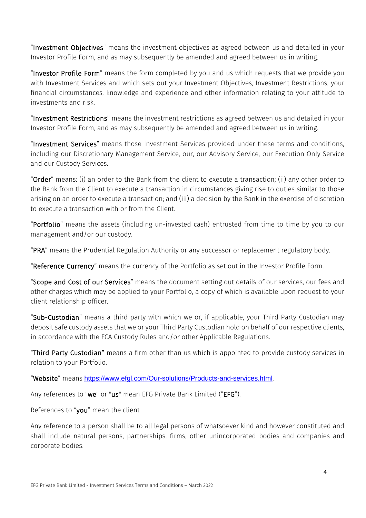"Investment Objectives" means the investment objectives as agreed between us and detailed in your Investor Profile Form, and as may subsequently be amended and agreed between us in writing.

"Investor Profile Form" means the form completed by you and us which requests that we provide you with Investment Services and which sets out your Investment Objectives, Investment Restrictions, your financial circumstances, knowledge and experience and other information relating to your attitude to investments and risk.

"Investment Restrictions" means the investment restrictions as agreed between us and detailed in your Investor Profile Form, and as may subsequently be amended and agreed between us in writing.

"Investment Services" means those Investment Services provided under these terms and conditions, including our Discretionary Management Service, our, our Advisory Service, our Execution Only Service and our Custody Services.

"Order" means: (i) an order to the Bank from the client to execute a transaction; (ii) any other order to the Bank from the Client to execute a transaction in circumstances giving rise to duties similar to those arising on an order to execute a transaction; and (iii) a decision by the Bank in the exercise of discretion to execute a transaction with or from the Client.

"Portfolio" means the assets (including un-invested cash) entrusted from time to time by you to our management and/or our custody.

"PRA" means the Prudential Regulation Authority or any successor or replacement regulatory body.

"Reference Currency" means the currency of the Portfolio as set out in the Investor Profile Form.

"Scope and Cost of our Services" means the document setting out details of our services, our fees and other charges which may be applied to your Portfolio, a copy of which is available upon request to your client relationship officer.

"Sub-Custodian" means a third party with which we or, if applicable, your Third Party Custodian may deposit safe custody assets that we or your Third Party Custodian hold on behalf of our respective clients, in accordance with the FCA Custody Rules and/or other Applicable Regulations.

"Third Party Custodian" means a firm other than us which is appointed to provide custody services in relation to your Portfolio.

"Website" means https://www.efgl.com/Our-solutions/Products-and-services.html.

Any references to "we" or "us" mean EFG Private Bank Limited ("EFG").

References to "you" mean the client

Any reference to a person shall be to all legal persons of whatsoever kind and however constituted and shall include natural persons, partnerships, firms, other unincorporated bodies and companies and corporate bodies.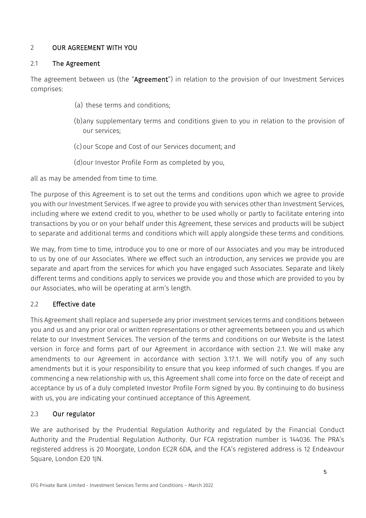# 2 OUR AGREEMENT WITH YOU

## <span id="page-5-0"></span>2.1 The Agreement

The agreement between us (the "Agreement") in relation to the provision of our Investment Services comprises:

- (a) these terms and conditions;
- (b)any supplementary terms and conditions given to you in relation to the provision of our services;
- (c) our Scope and Cost of our Services document; and
- (d)our Investor Profile Form as completed by you,

all as may be amended from time to time.

The purpose of this Agreement is to set out the terms and conditions upon which we agree to provide you with our Investment Services. If we agree to provide you with services other than Investment Services, including where we extend credit to you, whether to be used wholly or partly to facilitate entering into transactions by you or on your behalf under this Agreement, these services and products will be subject to separate and additional terms and conditions which will apply alongside these terms and conditions.

We may, from time to time, introduce you to one or more of our Associates and you may be introduced to us by one of our Associates. Where we effect such an introduction, any services we provide you are separate and apart from the services for which you have engaged such Associates. Separate and likely different terms and conditions apply to services we provide you and those which are provided to you by our Associates, who will be operating at arm's length.

## 2.2 Effective date

This Agreement shall replace and supersede any prior investment services terms and conditions between you and us and any prior oral or written representations or other agreements between you and us which relate to our Investment Services. The version of the terms and conditions on our Website is the latest version in force and forms part of our Agreement in accordance with section [2.1.](#page-5-0) We will make any amendments to our Agreement in accordance with section [3.17.1.](#page-24-0) We will notify you of any such amendments but it is your responsibility to ensure that you keep informed of such changes. If you are commencing a new relationship with us, this Agreement shall come into force on the date of receipt and acceptance by us of a duly completed Investor Profile Form signed by you. By continuing to do business with us, you are indicating your continued acceptance of this Agreement.

## 2.3 Our regulator

We are authorised by the Prudential Regulation Authority and regulated by the Financial Conduct Authority and the Prudential Regulation Authority. Our FCA registration number is 144036. The PRA's registered address is 20 Moorgate, London EC2R 6DA, and the FCA's registered address is 12 Endeavour Square, London E20 1JN.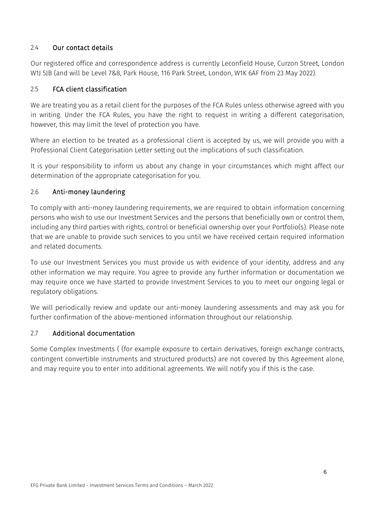## 2.4 Our contact details

Our registered office and correspondence address is currently Leconfield House, Curzon Street, London W1J 5JB (and will be Level 7&8, Park House, 116 Park Street, London, W1K 6AF from 23 May 2022).

## 2.5 FCA client classification

We are treating you as a retail client for the purposes of the FCA Rules unless otherwise agreed with you in writing. Under the FCA Rules, you have the right to request in writing a different categorisation, however, this may limit the level of protection you have.

Where an election to be treated as a professional client is accepted by us, we will provide you with a Professional Client Categorisation Letter setting out the implications of such classification.

It is your responsibility to inform us about any change in your circumstances which might affect our determination of the appropriate categorisation for you.

## 2.6 Anti-money laundering

To comply with anti-money laundering requirements, we are required to obtain information concerning persons who wish to use our Investment Services and the persons that beneficially own or control them, including any third parties with rights, control or beneficial ownership over your Portfolio(s). Please note that we are unable to provide such services to you until we have received certain required information and related documents.

To use our Investment Services you must provide us with evidence of your identity, address and any other information we may require. You agree to provide any further information or documentation we may require once we have started to provide Investment Services to you to meet our ongoing legal or regulatory obligations.

We will periodically review and update our anti-money laundering assessments and may ask you for further confirmation of the above-mentioned information throughout our relationship.

## 2.7 Additional documentation

Some Complex Investments ( (for example exposure to certain derivatives, foreign exchange contracts, contingent convertible instruments and structured products) are not covered by this Agreement alone, and may require you to enter into additional agreements. We will notify you if this is the case.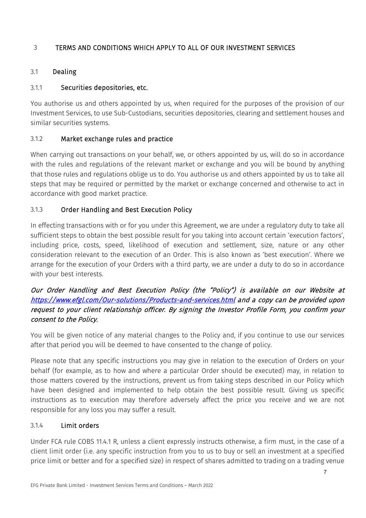# <span id="page-7-0"></span>3 TERMS AND CONDITIONS WHICH APPLY TO ALL OF OUR INVESTMENT SERVICES

## 3.1 Dealing

# 3.1.1 Securities depositories, etc.

You authorise us and others appointed by us, when required for the purposes of the provision of our Investment Services, to use Sub-Custodians, securities depositories, clearing and settlement houses and similar securities systems.

## 3.1.2 Market exchange rules and practice

When carrying out transactions on your behalf, we, or others appointed by us, will do so in accordance with the rules and regulations of the relevant market or exchange and you will be bound by anything that those rules and regulations oblige us to do. You authorise us and others appointed by us to take all steps that may be required or permitted by the market or exchange concerned and otherwise to act in accordance with good market practice.

# 3.1.3 Order Handling and Best Execution Policy

In effecting transactions with or for you under this Agreement, we are under a regulatory duty to take all sufficient steps to obtain the best possible result for you taking into account certain 'execution factors', including price, costs, speed, likelihood of execution and settlement, size, nature or any other consideration relevant to the execution of an Order. This is also known as 'best execution'. Where we arrange for the execution of your Orders with a third party, we are under a duty to do so in accordance with your best interests.

# Our Order Handling and Best Execution Policy (the "Policy") is available on our Website at <https://www.efgl.com/Our-solutions/Products-and-services.html>and a copy can be provided upon request to your client relationship officer. By signing the Investor Profile Form, you confirm your consent to the Policy.

You will be given notice of any material changes to the Policy and, if you continue to use our services after that period you will be deemed to have consented to the change of policy.

Please note that any specific instructions you may give in relation to the execution of Orders on your behalf (for example, as to how and where a particular Order should be executed) may, in relation to those matters covered by the instructions, prevent us from taking steps described in our Policy which have been designed and implemented to help obtain the best possible result. Giving us specific instructions as to execution may therefore adversely affect the price you receive and we are not responsible for any loss you may suffer a result.

## 3.1.4 Limit orders

Under FCA rule COBS 11.4.1 R, unless a client expressly instructs otherwise, a firm must, in the case of a client limit order (i.e. any specific instruction from you to us to buy or sell an investment at a specified price limit or better and for a specified size) in respect of shares admitted to trading on a trading venue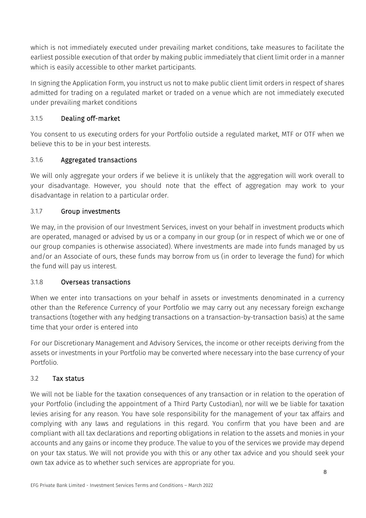which is not immediately executed under prevailing market conditions, take measures to facilitate the earliest possible execution of that order by making public immediately that client limit order in a manner which is easily accessible to other market participants.

In signing the Application Form, you instruct us not to make public client limit orders in respect of shares admitted for trading on a regulated market or traded on a venue which are not immediately executed under prevailing market conditions

# 3.1.5 Dealing off-market

You consent to us executing orders for your Portfolio outside a regulated market, MTF or OTF when we believe this to be in your best interests.

# 3.1.6 Aggregated transactions

We will only aggregate your orders if we believe it is unlikely that the aggregation will work overall to your disadvantage. However, you should note that the effect of aggregation may work to your disadvantage in relation to a particular order.

# 3.1.7 Group investments

We may, in the provision of our Investment Services, invest on your behalf in investment products which are operated, managed or advised by us or a company in our group (or in respect of which we or one of our group companies is otherwise associated). Where investments are made into funds managed by us and/or an Associate of ours, these funds may borrow from us (in order to leverage the fund) for which the fund will pay us interest.

# 3.1.8 Overseas transactions

When we enter into transactions on your behalf in assets or investments denominated in a currency other than the Reference Currency of your Portfolio we may carry out any necessary foreign exchange transactions (together with any hedging transactions on a transaction-by-transaction basis) at the same time that your order is entered into

For our Discretionary Management and Advisory Services, the income or other receipts deriving from the assets or investments in your Portfolio may be converted where necessary into the base currency of your Portfolio.

# 3.2 Tax status

We will not be liable for the taxation consequences of any transaction or in relation to the operation of your Portfolio (including the appointment of a Third Party Custodian), nor will we be liable for taxation levies arising for any reason. You have sole responsibility for the management of your tax affairs and complying with any laws and regulations in this regard. You confirm that you have been and are compliant with all tax declarations and reporting obligations in relation to the assets and monies in your accounts and any gains or income they produce. The value to you of the services we provide may depend on your tax status. We will not provide you with this or any other tax advice and you should seek your own tax advice as to whether such services are appropriate for you.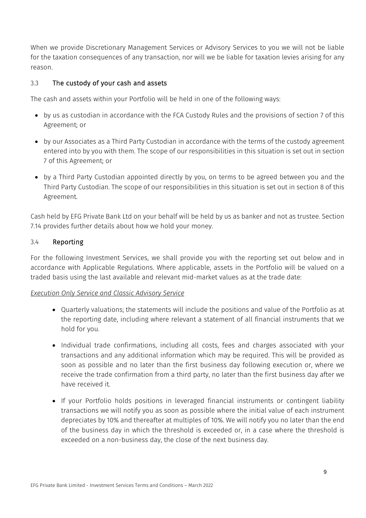When we provide Discretionary Management Services or Advisory Services to you we will not be liable for the taxation consequences of any transaction, nor will we be liable for taxation levies arising for any reason.

# 3.3 The custody of your cash and assets

The cash and assets within your Portfolio will be held in one of the following ways:

- by us as custodian in accordance with the FCA Custody Rules and the provisions of section [7](#page-35-0) of this Agreement; or
- by our Associates as a Third Party Custodian in accordance with the terms of the custody agreement entered into by you with them. The scope of our responsibilities in this situation is set out in section [7](#page-35-0) of this Agreement; or
- by a Third Party Custodian appointed directly by you, on terms to be agreed between you and the Third Party Custodian. The scope of our responsibilities in this situation is set out in sectio[n 8](#page-43-0) of this Agreement.

Cash held by EFG Private Bank Ltd on your behalf will be held by us as banker and not as trustee. Section 7.14 provides further details about how we hold your money.

## 3.4 Reporting

For the following Investment Services, we shall provide you with the reporting set out below and in accordance with Applicable Regulations. Where applicable, assets in the Portfolio will be valued on a traded basis using the last available and relevant mid-market values as at the trade date:

## *Execution Only Service and Classic Advisory Service*

- Quarterly valuations; the statements will include the positions and value of the Portfolio as at the reporting date, including where relevant a statement of all financial instruments that we hold for you.
- Individual trade confirmations, including all costs, fees and charges associated with your transactions and any additional information which may be required. This will be provided as soon as possible and no later than the first business day following execution or, where we receive the trade confirmation from a third party, no later than the first business day after we have received it.
- If your Portfolio holds positions in leveraged financial instruments or contingent liability transactions we will notify you as soon as possible where the initial value of each instrument depreciates by 10% and thereafter at multiples of 10%. We will notify you no later than the end of the business day in which the threshold is exceeded or, in a case where the threshold is exceeded on a non-business day, the close of the next business day.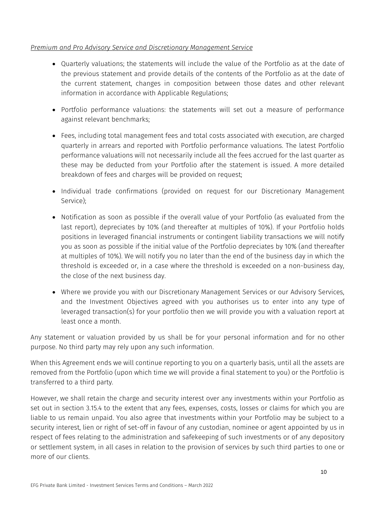## *Premium and Pro Advisory Service and Discretionary Management Service*

- Quarterly valuations; the statements will include the value of the Portfolio as at the date of the previous statement and provide details of the contents of the Portfolio as at the date of the current statement, changes in composition between those dates and other relevant information in accordance with Applicable Regulations;
- Portfolio performance valuations: the statements will set out a measure of performance against relevant benchmarks;
- Fees, including total management fees and total costs associated with execution, are charged quarterly in arrears and reported with Portfolio performance valuations. The latest Portfolio performance valuations will not necessarily include all the fees accrued for the last quarter as these may be deducted from your Portfolio after the statement is issued. A more detailed breakdown of fees and charges will be provided on request;
- Individual trade confirmations (provided on request for our Discretionary Management Service);
- Notification as soon as possible if the overall value of your Portfolio (as evaluated from the last report), depreciates by 10% (and thereafter at multiples of 10%). If your Portfolio holds positions in leveraged financial instruments or contingent liability transactions we will notify you as soon as possible if the initial value of the Portfolio depreciates by 10% (and thereafter at multiples of 10%). We will notify you no later than the end of the business day in which the threshold is exceeded or, in a case where the threshold is exceeded on a non-business day, the close of the next business day.
- Where we provide you with our Discretionary Management Services or our Advisory Services, and the Investment Objectives agreed with you authorises us to enter into any type of leveraged transaction(s) for your portfolio then we will provide you with a valuation report at least once a month.

Any statement or valuation provided by us shall be for your personal information and for no other purpose. No third party may rely upon any such information.

When this Agreement ends we will continue reporting to you on a quarterly basis, until all the assets are removed from the Portfolio (upon which time we will provide a final statement to you) or the Portfolio is transferred to a third party.

However, we shall retain the charge and security interest over any investments within your Portfolio as set out in section [3.15.4](#page-21-0) to the extent that any fees, expenses, costs, losses or claims for which you are liable to us remain unpaid. You also agree that investments within your Portfolio may be subject to a security interest, lien or right of set-off in favour of any custodian, nominee or agent appointed by us in respect of fees relating to the administration and safekeeping of such investments or of any depository or settlement system, in all cases in relation to the provision of services by such third parties to one or more of our clients.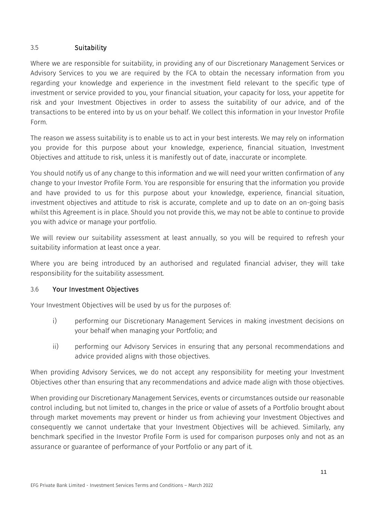# <span id="page-11-0"></span>3.5 Suitability

Where we are responsible for suitability, in providing any of our Discretionary Management Services or Advisory Services to you we are required by the FCA to obtain the necessary information from you regarding your knowledge and experience in the investment field relevant to the specific type of investment or service provided to you, your financial situation, your capacity for loss, your appetite for risk and your Investment Objectives in order to assess the suitability of our advice, and of the transactions to be entered into by us on your behalf. We collect this information in your Investor Profile Form.

The reason we assess suitability is to enable us to act in your best interests. We may rely on information you provide for this purpose about your knowledge, experience, financial situation, Investment Objectives and attitude to risk, unless it is manifestly out of date, inaccurate or incomplete.

You should notify us of any change to this information and we will need your written confirmation of any change to your Investor Profile Form. You are responsible for ensuring that the information you provide and have provided to us for this purpose about your knowledge, experience, financial situation, investment objectives and attitude to risk is accurate, complete and up to date on an on-going basis whilst this Agreement is in place. Should you not provide this, we may not be able to continue to provide you with advice or manage your portfolio.

We will review our suitability assessment at least annually, so you will be required to refresh your suitability information at least once a year.

Where you are being introduced by an authorised and regulated financial adviser, they will take responsibility for the suitability assessment.

# 3.6 Your Investment Objectives

Your Investment Objectives will be used by us for the purposes of:

- i) performing our Discretionary Management Services in making investment decisions on your behalf when managing your Portfolio; and
- ii) performing our Advisory Services in ensuring that any personal recommendations and advice provided aligns with those objectives.

When providing Advisory Services, we do not accept any responsibility for meeting your Investment Objectives other than ensuring that any recommendations and advice made align with those objectives.

When providing our Discretionary Management Services, events or circumstances outside our reasonable control including, but not limited to, changes in the price or value of assets of a Portfolio brought about through market movements may prevent or hinder us from achieving your Investment Objectives and consequently we cannot undertake that your Investment Objectives will be achieved. Similarly, any benchmark specified in the Investor Profile Form is used for comparison purposes only and not as an assurance or guarantee of performance of your Portfolio or any part of it.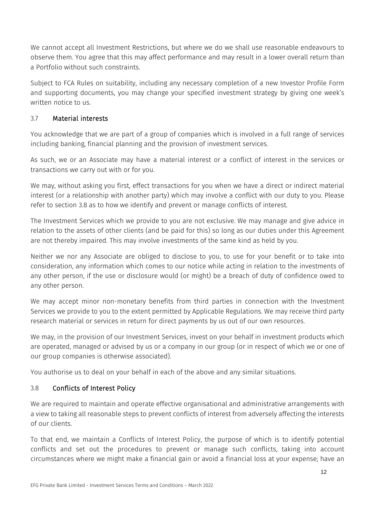We cannot accept all Investment Restrictions, but where we do we shall use reasonable endeavours to observe them. You agree that this may affect performance and may result in a lower overall return than a Portfolio without such constraints.

Subject to FCA Rules on suitability, including any necessary completion of a new Investor Profile Form and supporting documents, you may change your specified investment strategy by giving one week's written notice to us.

# <span id="page-12-1"></span>3.7 Material interests

You acknowledge that we are part of a group of companies which is involved in a full range of services including banking, financial planning and the provision of investment services.

As such, we or an Associate may have a material interest or a conflict of interest in the services or transactions we carry out with or for you.

We may, without asking you first, effect transactions for you when we have a direct or indirect material interest (or a relationship with another party) which may involve a conflict with our duty to you. Please refer to section [3.8](#page-12-0) as to how we identify and prevent or manage conflicts of interest.

The Investment Services which we provide to you are not exclusive. We may manage and give advice in relation to the assets of other clients (and be paid for this) so long as our duties under this Agreement are not thereby impaired. This may involve investments of the same kind as held by you.

Neither we nor any Associate are obliged to disclose to you, to use for your benefit or to take into consideration, any information which comes to our notice while acting in relation to the investments of any other person, if the use or disclosure would (or might) be a breach of duty of confidence owed to any other person.

We may accept minor non-monetary benefits from third parties in connection with the Investment Services we provide to you to the extent permitted by Applicable Regulations. We may receive third party research material or services in return for direct payments by us out of our own resources.

We may, in the provision of our Investment Services, invest on your behalf in investment products which are operated, managed or advised by us or a company in our group (or in respect of which we or one of our group companies is otherwise associated).

You authorise us to deal on your behalf in each of the above and any similar situations.

# <span id="page-12-0"></span>3.8 Conflicts of Interest Policy

We are required to maintain and operate effective organisational and administrative arrangements with a view to taking all reasonable steps to prevent conflicts of interest from adversely affecting the interests of our clients.

To that end, we maintain a Conflicts of Interest Policy, the purpose of which is to identify potential conflicts and set out the procedures to prevent or manage such conflicts, taking into account circumstances where we might make a financial gain or avoid a financial loss at your expense; have an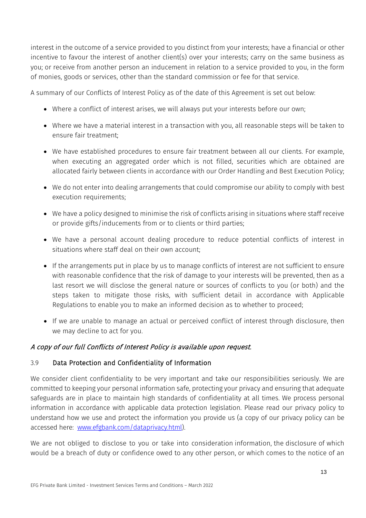interest in the outcome of a service provided to you distinct from your interests; have a financial or other incentive to favour the interest of another client(s) over your interests; carry on the same business as you; or receive from another person an inducement in relation to a service provided to you, in the form of monies, goods or services, other than the standard commission or fee for that service.

A summary of our Conflicts of Interest Policy as of the date of this Agreement is set out below:

- Where a conflict of interest arises, we will always put your interests before our own;
- Where we have a material interest in a transaction with you, all reasonable steps will be taken to ensure fair treatment;
- We have established procedures to ensure fair treatment between all our clients. For example, when executing an aggregated order which is not filled, securities which are obtained are allocated fairly between clients in accordance with our Order Handling and Best Execution Policy;
- We do not enter into dealing arrangements that could compromise our ability to comply with best execution requirements;
- We have a policy designed to minimise the risk of conflicts arising in situations where staff receive or provide gifts/inducements from or to clients or third parties;
- We have a personal account dealing procedure to reduce potential conflicts of interest in situations where staff deal on their own account;
- If the arrangements put in place by us to manage conflicts of interest are not sufficient to ensure with reasonable confidence that the risk of damage to your interests will be prevented, then as a last resort we will disclose the general nature or sources of conflicts to you (or both) and the steps taken to mitigate those risks, with sufficient detail in accordance with Applicable Regulations to enable you to make an informed decision as to whether to proceed;
- If we are unable to manage an actual or perceived conflict of interest through disclosure, then we may decline to act for you.

# A copy of our full Conflicts of Interest Policy is available upon request.

# 3.9 Data Protection and Confidentiality of Information

We consider client confidentiality to be very important and take our responsibilities seriously. We are committed to keeping your personal information safe, protecting your privacy and ensuring that adequate safeguards are in place to maintain high standards of confidentiality at all times. We process personal information in accordance with applicable data protection legislation. Please read our privacy policy to understand how we use and protect the information you provide us (a copy of our privacy policy can be accessed here: www.efgbank.com/dataprivacy.html).

We are not obliged to disclose to you or take into consideration information, the disclosure of which would be a breach of duty or confidence owed to any other person, or which comes to the notice of an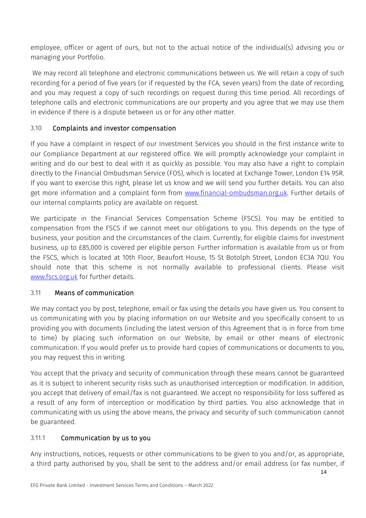employee, officer or agent of ours, but not to the actual notice of the individual(s) advising you or managing your Portfolio.

We may record all telephone and electronic communications between us. We will retain a copy of such recording for a period of five years (or if requested by the FCA, seven years) from the date of recording, and you may request a copy of such recordings on request during this time period. All recordings of telephone calls and electronic communications are our property and you agree that we may use them in evidence if there is a dispute between us or for any other matter.

# 3.10 Complaints and investor compensation

If you have a complaint in respect of our Investment Services you should in the first instance write to our Compliance Department at our registered office. We will promptly acknowledge your complaint in writing and do our best to deal with it as quickly as possible. You may also have a right to complain directly to the Financial Ombudsman Service (FOS), which is located at Exchange Tower, London E14 9SR. If you want to exercise this right, please let us know and we will send you further details. You can also get more information and a complaint form from www.financial-ombudsman.org.uk. Further details of our internal complaints policy are available on request.

We participate in the Financial Services Compensation Scheme (FSCS). You may be entitled to compensation from the FSCS if we cannot meet our obligations to you. This depends on the type of business, your position and the circumstances of the claim. Currently, for eligible claims for investment business, up to £85,000 is covered per eligible person. Further information is available from us or from the FSCS, which is located at 10th Floor, Beaufort House, 15 St Botolph Street, London EC3A 7QU. You should note that this scheme is not normally available to professional clients. Please visit www.fscs.org.uk for further details.

# <span id="page-14-0"></span>3.11 Means of communication

We may contact you by post, telephone, email or fax using the details you have given us. You consent to us communicating with you by placing information on our Website and you specifically consent to us providing you with documents (including the latest version of this Agreement that is in force from time to time) by placing such information on our Website, by email or other means of electronic communication. If you would prefer us to provide hard copies of communications or documents to you, you may request this in writing.

You accept that the privacy and security of communication through these means cannot be guaranteed as it is subject to inherent security risks such as unauthorised interception or modification. In addition, you accept that delivery of email/fax is not guaranteed. We accept no responsibility for loss suffered as a result of any form of interception or modification by third parties. You also acknowledge that in communicating with us using the above means, the privacy and security of such communication cannot be guaranteed.

# 3.11.1 Communication by us to you

Any instructions, notices, requests or other communications to be given to you and/or, as appropriate, a third party authorised by you, shall be sent to the address and/or email address (or fax number, if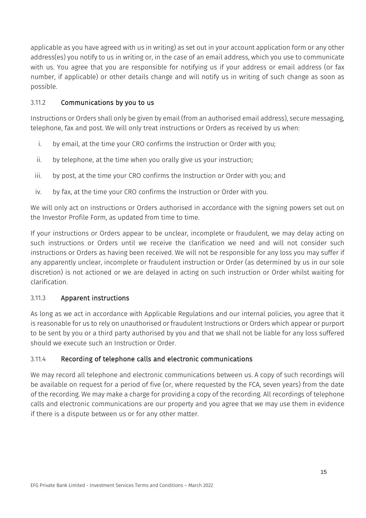applicable as you have agreed with us in writing) as set out in your account application form or any other address(es) you notify to us in writing or, in the case of an email address, which you use to communicate with us. You agree that you are responsible for notifying us if your address or email address (or fax number, if applicable) or other details change and will notify us in writing of such change as soon as possible.

# 3.11.2 Communications by you to us

Instructions or Orders shall only be given by email (from an authorised email address), secure messaging, telephone, fax and post. We will only treat instructions or Orders as received by us when:

- <span id="page-15-0"></span>i. by email, at the time your CRO confirms the Instruction or Order with you;
- ii. by telephone, at the time when you orally give us your instruction;
- iii. by post, at the time your CRO confirms the Instruction or Order with you; and
- iv. by fax, at the time your CRO confirms the Instruction or Order with you.

We will only act on instructions or Orders authorised in accordance with the signing powers set out on the Investor Profile Form, as updated from time to time.

If your instructions or Orders appear to be unclear, incomplete or fraudulent, we may delay acting on such instructions or Orders until we receive the clarification we need and will not consider such instructions or Orders as having been received. We will not be responsible for any loss you may suffer if any apparently unclear, incomplete or fraudulent instruction or Order (as determined by us in our sole discretion) is not actioned or we are delayed in acting on such instruction or Order whilst waiting for clarification.

# 3.11.3 Apparent instructions

As long as we act in accordance with Applicable Regulations and our internal policies, you agree that it is reasonable for us to rely on unauthorised or fraudulent Instructions or Orders which appear or purport to be sent by you or a third party authorised by you and that we shall not be liable for any loss suffered should we execute such an Instruction or Order.

## 3.11.4 Recording of telephone calls and electronic communications

We may record all telephone and electronic communications between us. A copy of such recordings will be available on request for a period of five (or, where requested by the FCA, seven years) from the date of the recording. We may make a charge for providing a copy of the recording. All recordings of telephone calls and electronic communications are our property and you agree that we may use them in evidence if there is a dispute between us or for any other matter.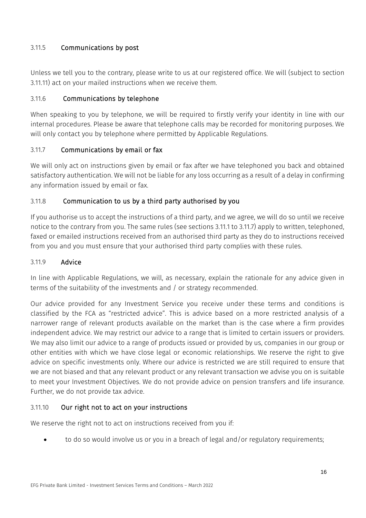# 3.11.5 Communications by post

Unless we tell you to the contrary, please write to us at our registered office. We will (subject to section [3.11.11\)](#page-16-0) act on your mailed instructions when we receive them.

# 3.11.6 Communications by telephone

When speaking to you by telephone, we will be required to firstly verify your identity in line with our internal procedures. Please be aware that telephone calls may be recorded for monitoring purposes. We will only contact you by telephone where permitted by Applicable Regulations.

# <span id="page-16-1"></span>3.11.7 Communications by email or fax

We will only act on instructions given by email or fax after we have telephoned you back and obtained satisfactory authentication. We will not be liable for any loss occurring as a result of a delay in confirming any information issued by email or fax.

# 3.11.8 Communication to us by a third party authorised by you

If you authorise us to accept the instructions of a third party, and we agree, we will do so until we receive notice to the contrary from you. The same rules (see sections [3.11.1](#page-15-0) to [3.11.7\)](#page-16-1) apply to written, telephoned, faxed or emailed instructions received from an authorised third party as they do to instructions received from you and you must ensure that your authorised third party complies with these rules.

# 3.11.9 Advice

In line with Applicable Regulations, we will, as necessary, explain the rationale for any advice given in terms of the suitability of the investments and / or strategy recommended.

Our advice provided for any Investment Service you receive under these terms and conditions is classified by the FCA as "restricted advice". This is advice based on a more restricted analysis of a narrower range of relevant products available on the market than is the case where a firm provides independent advice. We may restrict our advice to a range that is limited to certain issuers or providers. We may also limit our advice to a range of products issued or provided by us, companies in our group or other entities with which we have close legal or economic relationships. We reserve the right to give advice on specific investments only. Where our advice is restricted we are still required to ensure that we are not biased and that any relevant product or any relevant transaction we advise you on is suitable to meet your Investment Objectives. We do not provide advice on pension transfers and life insurance. Further, we do not provide tax advice.

# <span id="page-16-0"></span>3.11.10 Our right not to act on your instructions

We reserve the right not to act on instructions received from you if:

• to do so would involve us or you in a breach of legal and/or regulatory requirements;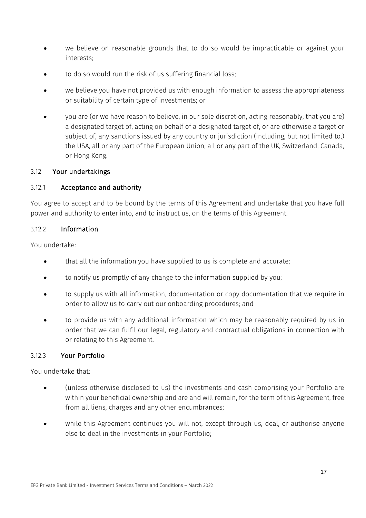- we believe on reasonable grounds that to do so would be impracticable or against your interests;
- to do so would run the risk of us suffering financial loss;
- we believe you have not provided us with enough information to assess the appropriateness or suitability of certain type of investments; or
- you are (or we have reason to believe, in our sole discretion, acting reasonably, that you are) a designated target of, acting on behalf of a designated target of, or are otherwise a target or subject of, any sanctions issued by any country or jurisdiction (including, but not limited to,) the USA, all or any part of the European Union, all or any part of the UK, Switzerland, Canada, or Hong Kong.

#### 3.12 Your undertakings

## 3.12.1 Acceptance and authority

You agree to accept and to be bound by the terms of this Agreement and undertake that you have full power and authority to enter into, and to instruct us, on the terms of this Agreement.

#### 3.12.2 Information

You undertake:

- that all the information you have supplied to us is complete and accurate;
- to notify us promptly of any change to the information supplied by you;
- to supply us with all information, documentation or copy documentation that we require in order to allow us to carry out our onboarding procedures; and
- to provide us with any additional information which may be reasonably required by us in order that we can fulfil our legal, regulatory and contractual obligations in connection with or relating to this Agreement.

## 3.12.3 Your Portfolio

You undertake that:

- (unless otherwise disclosed to us) the investments and cash comprising your Portfolio are within your beneficial ownership and are and will remain, for the term of this Agreement, free from all liens, charges and any other encumbrances;
- while this Agreement continues you will not, except through us, deal, or authorise anyone else to deal in the investments in your Portfolio;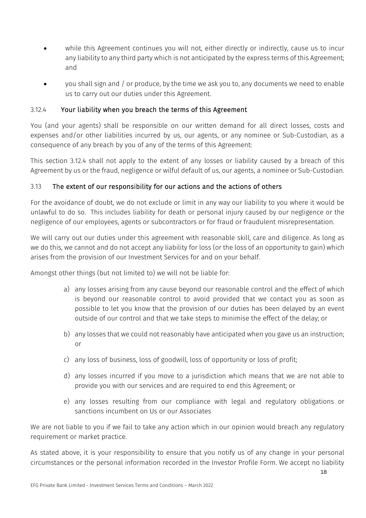- while this Agreement continues you will not, either directly or indirectly, cause us to incur any liability to any third party which is not anticipated by the express terms of this Agreement; and
- you shall sign and / or produce, by the time we ask you to, any documents we need to enable us to carry out our duties under this Agreement.

# <span id="page-18-0"></span>3.12.4 Your liability when you breach the terms of this Agreement

You (and your agents) shall be responsible on our written demand for all direct losses, costs and expenses and/or other liabilities incurred by us, our agents, or any nominee or Sub-Custodian, as a consequence of any breach by you of any of the terms of this Agreement:

This section [3.12.4](#page-18-0) shall not apply to the extent of any losses or liability caused by a breach of this Agreement by us or the fraud, negligence or wilful default of us, our agents, a nominee or Sub-Custodian.

# 3.13 The extent of our responsibility for our actions and the actions of others

For the avoidance of doubt, we do not exclude or limit in any way our liability to you where it would be unlawful to do so. This includes liability for death or personal injury caused by our negligence or the negligence of our employees, agents or subcontractors or for fraud or fraudulent misrepresentation.

We will carry out our duties under this agreement with reasonable skill, care and diligence. As long as we do this, we cannot and do not accept any liability for loss (or the loss of an opportunity to gain) which arises from the provision of our Investment Services for and on your behalf.

Amongst other things (but not limited to) we will not be liable for:

- a) any losses arising from any cause beyond our reasonable control and the effect of which is beyond our reasonable control to avoid provided that we contact you as soon as possible to let you know that the provision of our duties has been delayed by an event outside of our control and that we take steps to minimise the effect of the delay; or
- b) any losses that we could not reasonably have anticipated when you gave us an instruction; or
- c) any loss of business, loss of goodwill, loss of opportunity or loss of profit;
- d) any losses incurred if you move to a jurisdiction which means that we are not able to provide you with our services and are required to end this Agreement; or
- e) any losses resulting from our compliance with legal and regulatory obligations or sanctions incumbent on Us or our Associates

We are not liable to you if we fail to take any action which in our opinion would breach any regulatory requirement or market practice.

As stated above, it is your responsibility to ensure that you notify us of any change in your personal circumstances or the personal information recorded in the Investor Profile Form. We accept no liability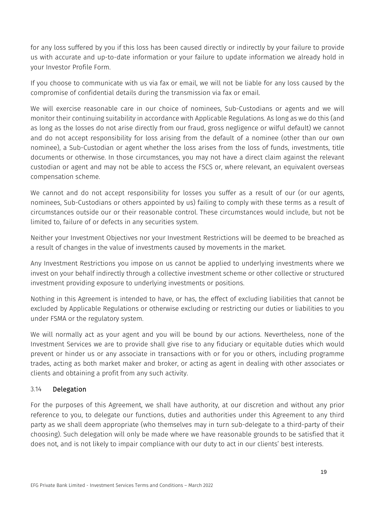for any loss suffered by you if this loss has been caused directly or indirectly by your failure to provide us with accurate and up-to-date information or your failure to update information we already hold in your Investor Profile Form.

If you choose to communicate with us via fax or email, we will not be liable for any loss caused by the compromise of confidential details during the transmission via fax or email.

We will exercise reasonable care in our choice of nominees, Sub-Custodians or agents and we will monitor their continuing suitability in accordance with Applicable Regulations. As long as we do this (and as long as the losses do not arise directly from our fraud, gross negligence or wilful default) we cannot and do not accept responsibility for loss arising from the default of a nominee (other than our own nominee), a Sub-Custodian or agent whether the loss arises from the loss of funds, investments, title documents or otherwise. In those circumstances, you may not have a direct claim against the relevant custodian or agent and may not be able to access the FSCS or, where relevant, an equivalent overseas compensation scheme.

We cannot and do not accept responsibility for losses you suffer as a result of our (or our agents, nominees, Sub-Custodians or others appointed by us) failing to comply with these terms as a result of circumstances outside our or their reasonable control. These circumstances would include, but not be limited to, failure of or defects in any securities system.

Neither your Investment Objectives nor your Investment Restrictions will be deemed to be breached as a result of changes in the value of investments caused by movements in the market.

Any Investment Restrictions you impose on us cannot be applied to underlying investments where we invest on your behalf indirectly through a collective investment scheme or other collective or structured investment providing exposure to underlying investments or positions.

Nothing in this Agreement is intended to have, or has, the effect of excluding liabilities that cannot be excluded by Applicable Regulations or otherwise excluding or restricting our duties or liabilities to you under FSMA or the regulatory system.

We will normally act as your agent and you will be bound by our actions. Nevertheless, none of the Investment Services we are to provide shall give rise to any fiduciary or equitable duties which would prevent or hinder us or any associate in transactions with or for you or others, including programme trades, acting as both market maker and broker, or acting as agent in dealing with other associates or clients and obtaining a profit from any such activity.

## 3.14 Delegation

For the purposes of this Agreement, we shall have authority, at our discretion and without any prior reference to you, to delegate our functions, duties and authorities under this Agreement to any third party as we shall deem appropriate (who themselves may in turn sub-delegate to a third-party of their choosing). Such delegation will only be made where we have reasonable grounds to be satisfied that it does not, and is not likely to impair compliance with our duty to act in our clients' best interests.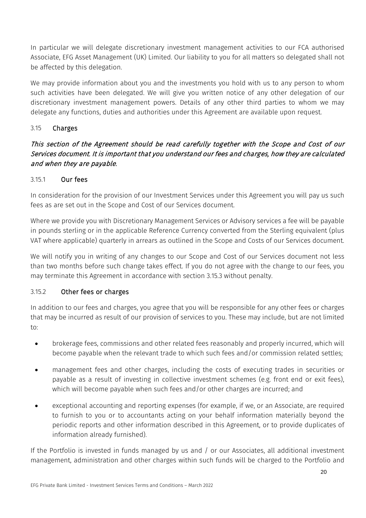In particular we will delegate discretionary investment management activities to our FCA authorised Associate, EFG Asset Management (UK) Limited. Our liability to you for all matters so delegated shall not be affected by this delegation.

We may provide information about you and the investments you hold with us to any person to whom such activities have been delegated. We will give you written notice of any other delegation of our discretionary investment management powers. Details of any other third parties to whom we may delegate any functions, duties and authorities under this Agreement are available upon request.

# 3.15 Charges

# This section of the Agreement should be read carefully together with the Scope and Cost of our Services document. It is important that you understand our fees and charges, how they are calculated and when they are payable.

## 3.15.1 Our fees

In consideration for the provision of our Investment Services under this Agreement you will pay us such fees as are set out in the Scope and Cost of our Services document.

Where we provide you with Discretionary Management Services or Advisory services a fee will be payable in pounds sterling or in the applicable Reference Currency converted from the Sterling equivalent (plus VAT where applicable) quarterly in arrears as outlined in the Scope and Costs of our Services document.

We will notify you in writing of any changes to our Scope and Cost of our Services document not less than two months before such change takes effect. If you do not agree with the change to our fees, you may terminate this Agreement in accordance with section 3.15.3 without penalty.

## 3.15.2 Other fees or charges

In addition to our fees and charges, you agree that you will be responsible for any other fees or charges that may be incurred as result of our provision of services to you. These may include, but are not limited to:

- brokerage fees, commissions and other related fees reasonably and properly incurred, which will become payable when the relevant trade to which such fees and/or commission related settles;
- management fees and other charges, including the costs of executing trades in securities or payable as a result of investing in collective investment schemes (e.g. front end or exit fees), which will become payable when such fees and/or other charges are incurred; and
- exceptional accounting and reporting expenses (for example, if we, or an Associate, are required to furnish to you or to accountants acting on your behalf information materially beyond the periodic reports and other information described in this Agreement, or to provide duplicates of information already furnished).

If the Portfolio is invested in funds managed by us and / or our Associates, all additional investment management, administration and other charges within such funds will be charged to the Portfolio and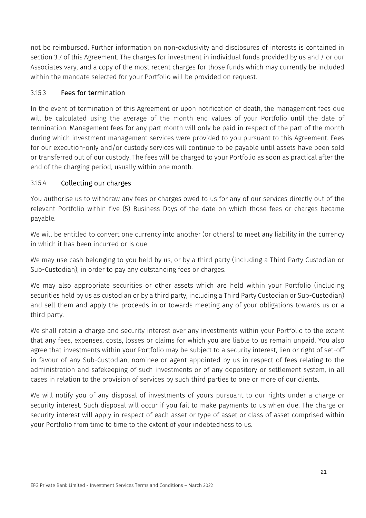not be reimbursed. Further information on non-exclusivity and disclosures of interests is contained in section [3.7](#page-12-1) of this Agreement. The charges for investment in individual funds provided by us and / or our Associates vary, and a copy of the most recent charges for those funds which may currently be included within the mandate selected for your Portfolio will be provided on request.

# 3.15.3 Fees for termination

In the event of termination of this Agreement or upon notification of death, the management fees due will be calculated using the average of the month end values of your Portfolio until the date of termination. Management fees for any part month will only be paid in respect of the part of the month during which investment management services were provided to you pursuant to this Agreement. Fees for our execution-only and/or custody services will continue to be payable until assets have been sold or transferred out of our custody. The fees will be charged to your Portfolio as soon as practical after the end of the charging period, usually within one month.

## <span id="page-21-0"></span>3.15.4 Collecting our charges

You authorise us to withdraw any fees or charges owed to us for any of our services directly out of the relevant Portfolio within five (5) Business Days of the date on which those fees or charges became payable.

We will be entitled to convert one currency into another (or others) to meet any liability in the currency in which it has been incurred or is due.

We may use cash belonging to you held by us, or by a third party (including a Third Party Custodian or Sub-Custodian), in order to pay any outstanding fees or charges.

We may also appropriate securities or other assets which are held within your Portfolio (including securities held by us as custodian or by a third party, including a Third Party Custodian or Sub-Custodian) and sell them and apply the proceeds in or towards meeting any of your obligations towards us or a third party.

We shall retain a charge and security interest over any investments within your Portfolio to the extent that any fees, expenses, costs, losses or claims for which you are liable to us remain unpaid. You also agree that investments within your Portfolio may be subject to a security interest, lien or right of set-off in favour of any Sub-Custodian, nominee or agent appointed by us in respect of fees relating to the administration and safekeeping of such investments or of any depository or settlement system, in all cases in relation to the provision of services by such third parties to one or more of our clients.

We will notify you of any disposal of investments of yours pursuant to our rights under a charge or security interest. Such disposal will occur if you fail to make payments to us when due. The charge or security interest will apply in respect of each asset or type of asset or class of asset comprised within your Portfolio from time to time to the extent of your indebtedness to us.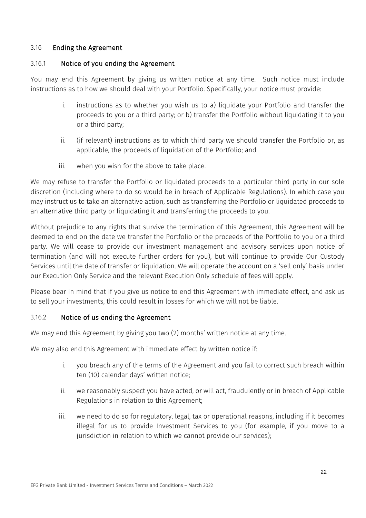#### <span id="page-22-0"></span>3.16 Ending the Agreement

#### 3.16.1 Notice of you ending the Agreement

You may end this Agreement by giving us written notice at any time. Such notice must include instructions as to how we should deal with your Portfolio. Specifically, your notice must provide:

- i. instructions as to whether you wish us to a) liquidate your Portfolio and transfer the proceeds to you or a third party; or b) transfer the Portfolio without liquidating it to you or a third party;
- ii. (if relevant) instructions as to which third party we should transfer the Portfolio or, as applicable, the proceeds of liquidation of the Portfolio; and
- iii. when you wish for the above to take place.

We may refuse to transfer the Portfolio or liquidated proceeds to a particular third party in our sole discretion (including where to do so would be in breach of Applicable Regulations). In which case you may instruct us to take an alternative action, such as transferring the Portfolio or liquidated proceeds to an alternative third party or liquidating it and transferring the proceeds to you.

Without prejudice to any rights that survive the termination of this Agreement, this Agreement will be deemed to end on the date we transfer the Portfolio or the proceeds of the Portfolio to you or a third party. We will cease to provide our investment management and advisory services upon notice of termination (and will not execute further orders for you), but will continue to provide Our Custody Services until the date of transfer or liquidation. We will operate the account on a 'sell only' basis under our Execution Only Service and the relevant Execution Only schedule of fees will apply.

Please bear in mind that if you give us notice to end this Agreement with immediate effect, and ask us to sell your investments, this could result in losses for which we will not be liable.

## 3.16.2 Notice of us ending the Agreement

We may end this Agreement by giving you two (2) months' written notice at any time.

We may also end this Agreement with immediate effect by written notice if:

- i. you breach any of the terms of the Agreement and you fail to correct such breach within ten (10) calendar days' written notice;
- ii. we reasonably suspect you have acted, or will act, fraudulently or in breach of Applicable Regulations in relation to this Agreement;
- iii. we need to do so for regulatory, legal, tax or operational reasons, including if it becomes illegal for us to provide Investment Services to you (for example, if you move to a jurisdiction in relation to which we cannot provide our services);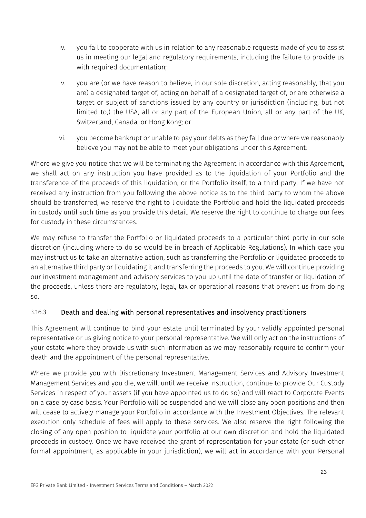- iv. you fail to cooperate with us in relation to any reasonable requests made of you to assist us in meeting our legal and regulatory requirements, including the failure to provide us with required documentation;
- v. you are (or we have reason to believe, in our sole discretion, acting reasonably, that you are) a designated target of, acting on behalf of a designated target of, or are otherwise a target or subject of sanctions issued by any country or jurisdiction (including, but not limited to,) the USA, all or any part of the European Union, all or any part of the UK, Switzerland, Canada, or Hong Kong; or
- vi. you become bankrupt or unable to pay your debts as they fall due or where we reasonably believe you may not be able to meet your obligations under this Agreement;

Where we give you notice that we will be terminating the Agreement in accordance with this Agreement, we shall act on any instruction you have provided as to the liquidation of your Portfolio and the transference of the proceeds of this liquidation, or the Portfolio itself, to a third party. If we have not received any instruction from you following the above notice as to the third party to whom the above should be transferred, we reserve the right to liquidate the Portfolio and hold the liquidated proceeds in custody until such time as you provide this detail. We reserve the right to continue to charge our fees for custody in these circumstances.

We may refuse to transfer the Portfolio or liquidated proceeds to a particular third party in our sole discretion (including where to do so would be in breach of Applicable Regulations). In which case you may instruct us to take an alternative action, such as transferring the Portfolio or liquidated proceeds to an alternative third party or liquidating it and transferring the proceeds to you. We will continue providing our investment management and advisory services to you up until the date of transfer or liquidation of the proceeds, unless there are regulatory, legal, tax or operational reasons that prevent us from doing so.

# 3.16.3 Death and dealing with personal representatives and insolvency practitioners

This Agreement will continue to bind your estate until terminated by your validly appointed personal representative or us giving notice to your personal representative. We will only act on the instructions of your estate where they provide us with such information as we may reasonably require to confirm your death and the appointment of the personal representative.

Where we provide you with Discretionary Investment Management Services and Advisory Investment Management Services and you die, we will, until we receive Instruction, continue to provide Our Custody Services in respect of your assets (if you have appointed us to do so) and will react to Corporate Events on a case by case basis. Your Portfolio will be suspended and we will close any open positions and then will cease to actively manage your Portfolio in accordance with the Investment Objectives. The relevant execution only schedule of fees will apply to these services. We also reserve the right following the closing of any open position to liquidate your portfolio at our own discretion and hold the liquidated proceeds in custody. Once we have received the grant of representation for your estate (or such other formal appointment, as applicable in your jurisdiction), we will act in accordance with your Personal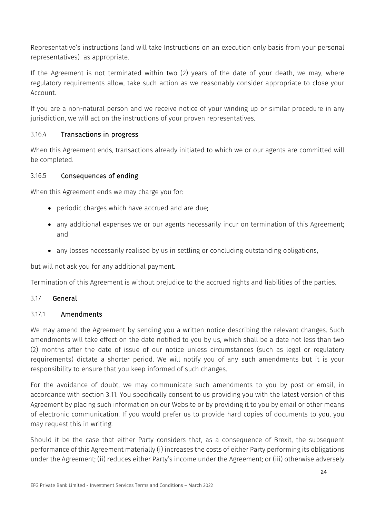Representative's instructions (and will take Instructions on an execution only basis from your personal representatives) as appropriate.

If the Agreement is not terminated within two (2) years of the date of your death, we may, where regulatory requirements allow, take such action as we reasonably consider appropriate to close your Account.

If you are a non-natural person and we receive notice of your winding up or similar procedure in any jurisdiction, we will act on the instructions of your proven representatives.

# 3.16.4 Transactions in progress

When this Agreement ends, transactions already initiated to which we or our agents are committed will be completed.

## 3.16.5 Consequences of ending

When this Agreement ends we may charge you for:

- periodic charges which have accrued and are due;
- any additional expenses we or our agents necessarily incur on termination of this Agreement; and
- any losses necessarily realised by us in settling or concluding outstanding obligations,

but will not ask you for any additional payment.

Termination of this Agreement is without prejudice to the accrued rights and liabilities of the parties.

# 3.17 General

## <span id="page-24-0"></span>3.17.1 Amendments

We may amend the Agreement by sending you a written notice describing the relevant changes. Such amendments will take effect on the date notified to you by us, which shall be a date not less than two (2) months after the date of issue of our notice unless circumstances (such as legal or regulatory requirements) dictate a shorter period. We will notify you of any such amendments but it is your responsibility to ensure that you keep informed of such changes.

For the avoidance of doubt, we may communicate such amendments to you by post or email, in accordance with section [3.11.](#page-14-0) You specifically consent to us providing you with the latest version of this Agreement by placing such information on our Website or by providing it to you by email or other means of electronic communication. If you would prefer us to provide hard copies of documents to you, you may request this in writing.

Should it be the case that either Party considers that, as a consequence of Brexit, the subsequent performance of this Agreement materially (i) increases the costs of either Party performing its obligations under the Agreement; (ii) reduces either Party's income under the Agreement; or (iii) otherwise adversely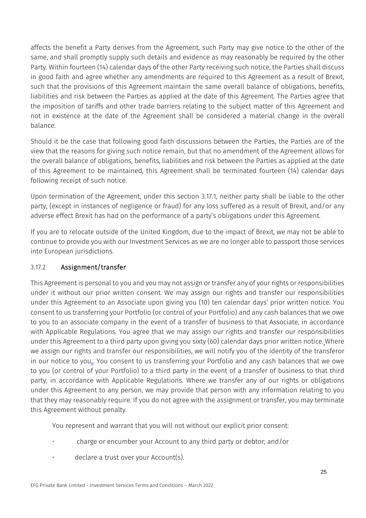affects the benefit a Party derives from the Agreement, such Party may give notice to the other of the same, and shall promptly supply such details and evidence as may reasonably be required by the other Party. Within fourteen (14) calendar days of the other Party receiving such notice, the Parties shall discuss in good faith and agree whether any amendments are required to this Agreement as a result of Brexit, such that the provisions of this Agreement maintain the same overall balance of obligations, benefits, liabilities and risk between the Parties as applied at the date of this Agreement. The Parties agree that the imposition of tariffs and other trade barriers relating to the subject matter of this Agreement and not in existence at the date of the Agreement shall be considered a material change in the overall balance.

Should it be the case that following good faith discussions between the Parties, the Parties are of the view that the reasons for giving such notice remain, but that no amendment of the Agreement allows for the overall balance of obligations, benefits, liabilities and risk between the Parties as applied at the date of this Agreement to be maintained, this Agreement shall be terminated fourteen (14) calendar days following receipt of such notice.

Upon termination of the Agreement, under this section 3.17.1, neither party shall be liable to the other party, (except in instances of negligence or fraud) for any loss suffered as a result of Brexit, and/or any adverse effect Brexit has had on the performance of a party's obligations under this Agreement.

If you are to relocate outside of the United Kingdom, due to the impact of Brexit, we may not be able to continue to provide you with our Investment Services as we are no longer able to passport those services into European jurisdictions.

# 3.17.2 Assignment/transfer

This Agreement is personal to you and you may not assign or transfer any of your rights or responsibilities under it without our prior written consent. We may assign our rights and transfer our responsibilities under this Agreement to an Associate upon giving you (10) ten calendar days' prior written notice. You consent to us transferring your Portfolio (or control of your Portfolio) and any cash balances that we owe to you to an associate company in the event of a transfer of business to that Associate, in accordance with Applicable Regulations. You agree that we may assign our rights and transfer our responsibilities under this Agreement to a third party upon giving you sixty (60) calendar days prior written notice. Where we assign our rights and transfer our responsibilities, we will notify you of the identity of the transferor in our notice to you.. You consent to us transferring your Portfolio and any cash balances that we owe to you (or control of your Portfolio) to a third party in the event of a transfer of business to that third party, in accordance with Applicable Regulations. Where we transfer any of our rights or obligations under this Agreement to any person, we may provide that person with any information relating to you that they may reasonably require. If you do not agree with the assignment or transfer, you may terminate this Agreement without penalty.

You represent and warrant that you will not without our explicit prior consent:

- charge or encumber your Account to any third party or debtor; and/or
- declare a trust over your Account(s).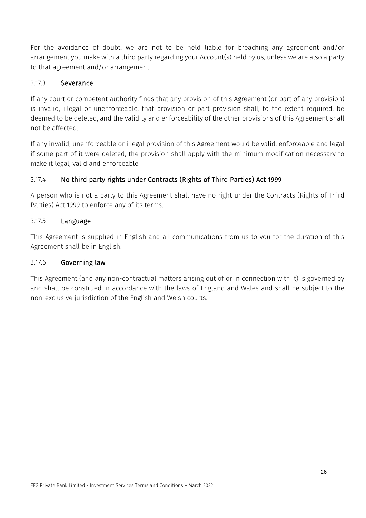For the avoidance of doubt, we are not to be held liable for breaching any agreement and/or arrangement you make with a third party regarding your Account(s) held by us, unless we are also a party to that agreement and/or arrangement.

## 3.17.3 Severance

If any court or competent authority finds that any provision of this Agreement (or part of any provision) is invalid, illegal or unenforceable, that provision or part provision shall, to the extent required, be deemed to be deleted, and the validity and enforceability of the other provisions of this Agreement shall not be affected.

If any invalid, unenforceable or illegal provision of this Agreement would be valid, enforceable and legal if some part of it were deleted, the provision shall apply with the minimum modification necessary to make it legal, valid and enforceable.

# 3.17.4 No third party rights under Contracts (Rights of Third Parties) Act 1999

A person who is not a party to this Agreement shall have no right under the Contracts (Rights of Third Parties) Act 1999 to enforce any of its terms.

## 3.17.5 Language

This Agreement is supplied in English and all communications from us to you for the duration of this Agreement shall be in English.

## 3.17.6 Governing law

This Agreement (and any non-contractual matters arising out of or in connection with it) is governed by and shall be construed in accordance with the laws of England and Wales and shall be subject to the non-exclusive jurisdiction of the English and Welsh courts.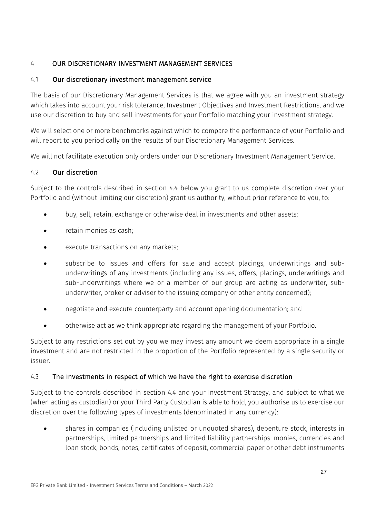# <span id="page-27-1"></span>4 OUR DISCRETIONARY INVESTMENT MANAGEMENT SERVICES

# 4.1 Our discretionary investment management service

The basis of our Discretionary Management Services is that we agree with you an investment strategy which takes into account your risk tolerance, Investment Objectives and Investment Restrictions, and we use our discretion to buy and sell investments for your Portfolio matching your investment strategy.

We will select one or more benchmarks against which to compare the performance of your Portfolio and will report to you periodically on the results of our Discretionary Management Services.

We will not facilitate execution only orders under our Discretionary Investment Management Service.

## 4.2 Our discretion

Subject to the controls described in section [4.4](#page-28-0) below you grant to us complete discretion over your Portfolio and (without limiting our discretion) grant us authority, without prior reference to you, to:

- buy, sell, retain, exchange or otherwise deal in investments and other assets;
- retain monies as cash;
- execute transactions on any markets;
- subscribe to issues and offers for sale and accept placings, underwritings and subunderwritings of any investments (including any issues, offers, placings, underwritings and sub-underwritings where we or a member of our group are acting as underwriter, subunderwriter, broker or adviser to the issuing company or other entity concerned);
- negotiate and execute counterparty and account opening documentation; and
- otherwise act as we think appropriate regarding the management of your Portfolio.

<span id="page-27-0"></span>Subject to any restrictions set out by you we may invest any amount we deem appropriate in a single investment and are not restricted in the proportion of the Portfolio represented by a single security or issuer.

## 4.3 The investments in respect of which we have the right to exercise discretion

Subject to the controls described in section [4.4](#page-28-0) and your Investment Strategy, and subject to what we (when acting as custodian) or your Third Party Custodian is able to hold, you authorise us to exercise our discretion over the following types of investments (denominated in any currency):

• shares in companies (including unlisted or unquoted shares), debenture stock, interests in partnerships, limited partnerships and limited liability partnerships, monies, currencies and loan stock, bonds, notes, certificates of deposit, commercial paper or other debt instruments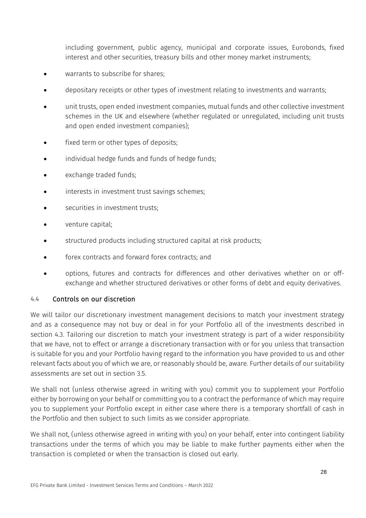including government, public agency, municipal and corporate issues, Eurobonds, fixed interest and other securities, treasury bills and other money market instruments;

- warrants to subscribe for shares;
- depositary receipts or other types of investment relating to investments and warrants;
- unit trusts, open ended investment companies, mutual funds and other collective investment schemes in the UK and elsewhere (whether regulated or unregulated, including unit trusts and open ended investment companies);
- fixed term or other types of deposits;
- individual hedge funds and funds of hedge funds;
- exchange traded funds;
- interests in investment trust savings schemes;
- securities in investment trusts;
- venture capital;
- structured products including structured capital at risk products;
- forex contracts and forward forex contracts; and
- options, futures and contracts for differences and other derivatives whether on or offexchange and whether structured derivatives or other forms of debt and equity derivatives.

## <span id="page-28-0"></span>4.4 Controls on our discretion

We will tailor our discretionary investment management decisions to match your investment strategy and as a consequence may not buy or deal in for your Portfolio all of the investments described in section [4.3.](#page-27-0) Tailoring our discretion to match your investment strategy is part of a wider responsibility that we have, not to effect or arrange a discretionary transaction with or for you unless that transaction is suitable for you and your Portfolio having regard to the information you have provided to us and other relevant facts about you of which we are, or reasonably should be, aware. Further details of our suitability assessments are set out in section [3.5.](#page-11-0)

We shall not (unless otherwise agreed in writing with you) commit you to supplement your Portfolio either by borrowing on your behalf or committing you to a contract the performance of which may require you to supplement your Portfolio except in either case where there is a temporary shortfall of cash in the Portfolio and then subject to such limits as we consider appropriate.

We shall not, (unless otherwise agreed in writing with you) on your behalf, enter into contingent liability transactions under the terms of which you may be liable to make further payments either when the transaction is completed or when the transaction is closed out early.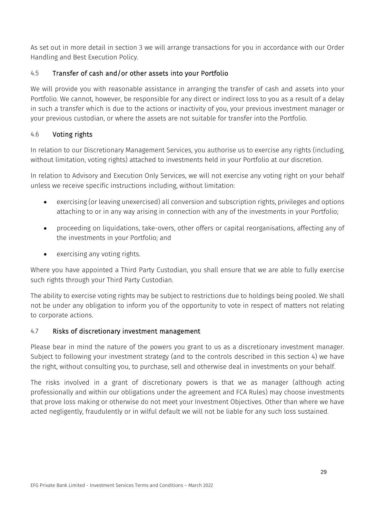As set out in more detail in section [3](#page-7-0) we will arrange transactions for you in accordance with our Order Handling and Best Execution Policy.

# 4.5 Transfer of cash and/or other assets into your Portfolio

We will provide you with reasonable assistance in arranging the transfer of cash and assets into your Portfolio. We cannot, however, be responsible for any direct or indirect loss to you as a result of a delay in such a transfer which is due to the actions or inactivity of you, your previous investment manager or your previous custodian, or where the assets are not suitable for transfer into the Portfolio.

# 4.6 Voting rights

In relation to our Discretionary Management Services, you authorise us to exercise any rights (including, without limitation, voting rights) attached to investments held in your Portfolio at our discretion.

In relation to Advisory and Execution Only Services, we will not exercise any voting right on your behalf unless we receive specific instructions including, without limitation:

- exercising (or leaving unexercised) all conversion and subscription rights, privileges and options attaching to or in any way arising in connection with any of the investments in your Portfolio;
- proceeding on liquidations, take-overs, other offers or capital reorganisations, affecting any of the investments in your Portfolio; and
- exercising any voting rights.

Where you have appointed a Third Party Custodian, you shall ensure that we are able to fully exercise such rights through your Third Party Custodian.

The ability to exercise voting rights may be subject to restrictions due to holdings being pooled. We shall not be under any obligation to inform you of the opportunity to vote in respect of matters not relating to corporate actions.

# 4.7 Risks of discretionary investment management

Please bear in mind the nature of the powers you grant to us as a discretionary investment manager. Subject to following your investment strategy (and to the controls described in this section [4\)](#page-27-1) we have the right, without consulting you, to purchase, sell and otherwise deal in investments on your behalf.

The risks involved in a grant of discretionary powers is that we as manager (although acting professionally and within our obligations under the agreement and FCA Rules) may choose investments that prove loss making or otherwise do not meet your Investment Objectives. Other than where we have acted negligently, fraudulently or in wilful default we will not be liable for any such loss sustained.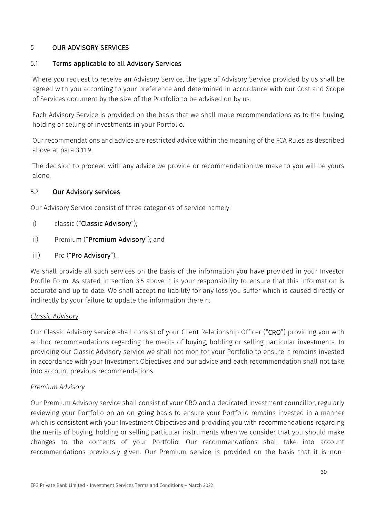## 5 OUR ADVISORY SERVICES

## 5.1 Terms applicable to all Advisory Services

Where you request to receive an Advisory Service, the type of Advisory Service provided by us shall be agreed with you according to your preference and determined in accordance with our Cost and Scope of Services document by the size of the Portfolio to be advised on by us.

Each Advisory Service is provided on the basis that we shall make recommendations as to the buying, holding or selling of investments in your Portfolio.

Our recommendations and advice are restricted advice within the meaning of the FCA Rules as described above at para 3.11.9.

The decision to proceed with any advice we provide or recommendation we make to you will be yours alone.

## 5.2 Our Advisory services

Our Advisory Service consist of three categories of service namely:

- i) classic ("Classic Advisory");
- ii) Premium ("Premium Advisory"); and
- iii) Pro ("Pro Advisory").

We shall provide all such services on the basis of the information you have provided in your Investor Profile Form. As stated in section 3.5 above it is your responsibility to ensure that this information is accurate and up to date. We shall accept no liability for any loss you suffer which is caused directly or indirectly by your failure to update the information therein.

## *Classic Advisory*

Our Classic Advisory service shall consist of your Client Relationship Officer ("CRO") providing you with ad-hoc recommendations regarding the merits of buying, holding or selling particular investments. In providing our Classic Advisory service we shall not monitor your Portfolio to ensure it remains invested in accordance with your Investment Objectives and our advice and each recommendation shall not take into account previous recommendations.

## *Premium Advisory*

Our Premium Advisory service shall consist of your CRO and a dedicated investment councillor, regularly reviewing your Portfolio on an on-going basis to ensure your Portfolio remains invested in a manner which is consistent with your Investment Objectives and providing you with recommendations regarding the merits of buying, holding or selling particular instruments when we consider that you should make changes to the contents of your Portfolio. Our recommendations shall take into account recommendations previously given. Our Premium service is provided on the basis that it is non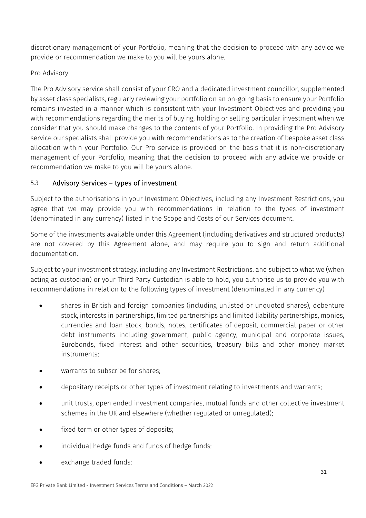discretionary management of your Portfolio, meaning that the decision to proceed with any advice we provide or recommendation we make to you will be yours alone.

## Pro Advisory

The Pro Advisory service shall consist of your CRO and a dedicated investment councillor, supplemented by asset class specialists, regularly reviewing your portfolio on an on-going basis to ensure your Portfolio remains invested in a manner which is consistent with your Investment Objectives and providing you with recommendations regarding the merits of buying, holding or selling particular investment when we consider that you should make changes to the contents of your Portfolio. In providing the Pro Advisory service our specialists shall provide you with recommendations as to the creation of bespoke asset class allocation within your Portfolio. Our Pro service is provided on the basis that it is non-discretionary management of your Portfolio, meaning that the decision to proceed with any advice we provide or recommendation we make to you will be yours alone.

# 5.3 Advisory Services – types of investment

Subject to the authorisations in your Investment Objectives, including any Investment Restrictions, you agree that we may provide you with recommendations in relation to the types of investment (denominated in any currency) listed in the Scope and Costs of our Services document.

Some of the investments available under this Agreement (including derivatives and structured products) are not covered by this Agreement alone, and may require you to sign and return additional documentation.

Subject to your investment strategy, including any Investment Restrictions, and subject to what we (when acting as custodian) or your Third Party Custodian is able to hold, you authorise us to provide you with recommendations in relation to the following types of investment (denominated in any currency)

- shares in British and foreign companies (including unlisted or unquoted shares), debenture stock, interests in partnerships, limited partnerships and limited liability partnerships, monies, currencies and loan stock, bonds, notes, certificates of deposit, commercial paper or other debt instruments including government, public agency, municipal and corporate issues, Eurobonds, fixed interest and other securities, treasury bills and other money market instruments;
- warrants to subscribe for shares:
- depositary receipts or other types of investment relating to investments and warrants;
- unit trusts, open ended investment companies, mutual funds and other collective investment schemes in the UK and elsewhere (whether regulated or unregulated);
- fixed term or other types of deposits:
- individual hedge funds and funds of hedge funds;
- exchange traded funds: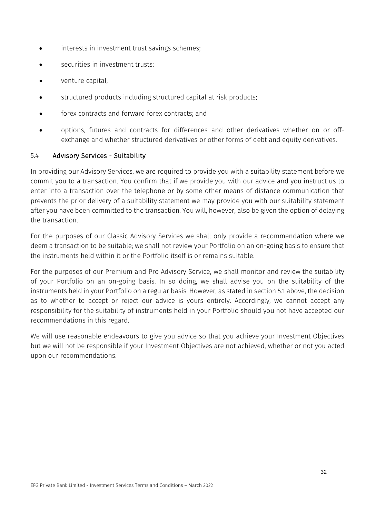- interests in investment trust savings schemes;
- securities in investment trusts:
- venture capital;
- structured products including structured capital at risk products;
- forex contracts and forward forex contracts; and
- options, futures and contracts for differences and other derivatives whether on or offexchange and whether structured derivatives or other forms of debt and equity derivatives.

#### 5.4 Advisory Services - Suitability

In providing our Advisory Services, we are required to provide you with a suitability statement before we commit you to a transaction. You confirm that if we provide you with our advice and you instruct us to enter into a transaction over the telephone or by some other means of distance communication that prevents the prior delivery of a suitability statement we may provide you with our suitability statement after you have been committed to the transaction. You will, however, also be given the option of delaying the transaction.

For the purposes of our Classic Advisory Services we shall only provide a recommendation where we deem a transaction to be suitable; we shall not review your Portfolio on an on-going basis to ensure that the instruments held within it or the Portfolio itself is or remains suitable.

For the purposes of our Premium and Pro Advisory Service, we shall monitor and review the suitability of your Portfolio on an on-going basis. In so doing, we shall advise you on the suitability of the instruments held in your Portfolio on a regular basis. However, as stated in section 5.1 above, the decision as to whether to accept or reject our advice is yours entirely. Accordingly, we cannot accept any responsibility for the suitability of instruments held in your Portfolio should you not have accepted our recommendations in this regard.

We will use reasonable endeavours to give you advice so that you achieve your Investment Objectives but we will not be responsible if your Investment Objectives are not achieved, whether or not you acted upon our recommendations.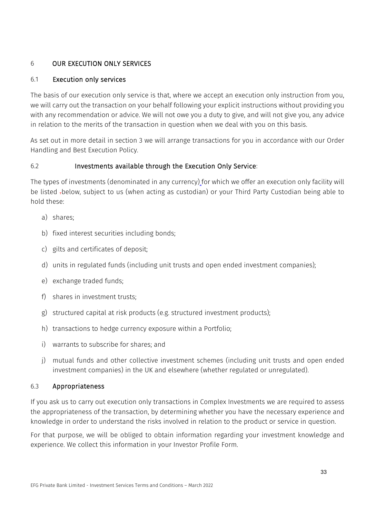# 6 OUR EXECUTION ONLY SERVICES

## 6.1 Execution only services

The basis of our execution only service is that, where we accept an execution only instruction from you, we will carry out the transaction on your behalf following your explicit instructions without providing you with any recommendation or advice. We will not owe you a duty to give, and will not give you, any advice in relation to the merits of the transaction in question when we deal with you on this basis.

As set out in more detail in section [3](#page-7-0) we will arrange transactions for you in accordance with our Order Handling and Best Execution Policy.

## 6.2 Investments available through the Execution Only Service:

The types of investments (denominated in any currency) for which we offer an execution only facility will be listed .below, subject to us (when acting as custodian) or your Third Party Custodian being able to hold these:

- a) shares;
- b) fixed interest securities including bonds;
- c) gilts and certificates of deposit;
- d) units in regulated funds (including unit trusts and open ended investment companies);
- e) exchange traded funds;
- f) shares in investment trusts;
- g) structured capital at risk products (e.g. structured investment products);
- h) transactions to hedge currency exposure within a Portfolio;
- i) warrants to subscribe for shares; and
- j) mutual funds and other collective investment schemes (including unit trusts and open ended investment companies) in the UK and elsewhere (whether regulated or unregulated).

## 6.3 Appropriateness

If you ask us to carry out execution only transactions in Complex Investments we are required to assess the appropriateness of the transaction, by determining whether you have the necessary experience and knowledge in order to understand the risks involved in relation to the product or service in question.

For that purpose, we will be obliged to obtain information regarding your investment knowledge and experience. We collect this information in your Investor Profile Form.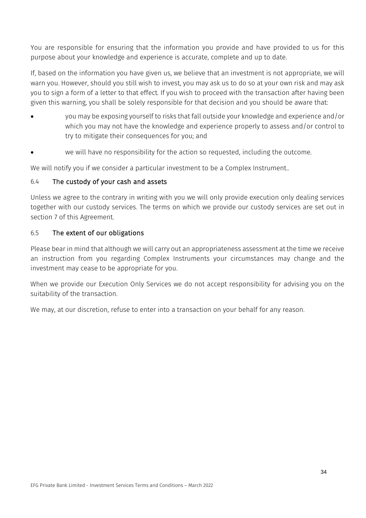You are responsible for ensuring that the information you provide and have provided to us for this purpose about your knowledge and experience is accurate, complete and up to date.

If, based on the information you have given us, we believe that an investment is not appropriate, we will warn you. However, should you still wish to invest, you may ask us to do so at your own risk and may ask you to sign a form of a letter to that effect. If you wish to proceed with the transaction after having been given this warning, you shall be solely responsible for that decision and you should be aware that:

- you may be exposing yourself to risks that fall outside your knowledge and experience and/or which you may not have the knowledge and experience properly to assess and/or control to try to mitigate their consequences for you; and
- we will have no responsibility for the action so requested, including the outcome.

We will notify you if we consider a particular investment to be a Complex Instrument..

#### 6.4 The custody of your cash and assets

Unless we agree to the contrary in writing with you we will only provide execution only dealing services together with our custody services. The terms on which we provide our custody services are set out in section [7](#page-35-0) of this Agreement.

#### 6.5 The extent of our obligations

Please bear in mind that although we will carry out an appropriateness assessment at the time we receive an instruction from you regarding Complex Instruments your circumstances may change and the investment may cease to be appropriate for you.

When we provide our Execution Only Services we do not accept responsibility for advising you on the suitability of the transaction.

We may, at our discretion, refuse to enter into a transaction on your behalf for any reason.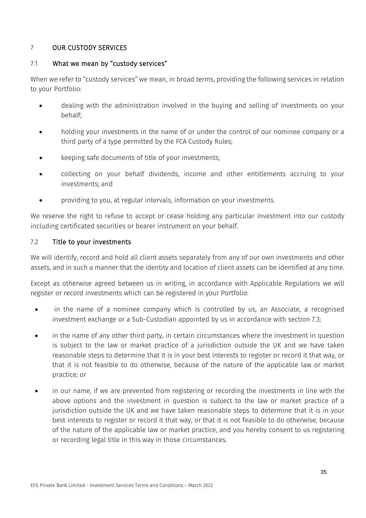## <span id="page-35-0"></span>7 OUR CUSTODY SERVICES

## 7.1 What we mean by "custody services"

When we refer to "custody services" we mean, in broad terms, providing the following services in relation to your Portfolio:

- dealing with the administration involved in the buying and selling of investments on your behalf;
- holding your investments in the name of or under the control of our nominee company or a third party of a type permitted by the FCA Custody Rules;
- keeping safe documents of title of your investments;
- collecting on your behalf dividends, income and other entitlements accruing to your investments; and
- providing to you, at regular intervals, information on your investments.

We reserve the right to refuse to accept or cease holding any particular investment into our custody including certificated securities or bearer instrument on your behalf.

## 7.2 Title to your investments

We will identify, record and hold all client assets separately from any of our own investments and other assets, and in such a manner that the identity and location of client assets can be identified at any time.

Except as otherwise agreed between us in writing, in accordance with Applicable Regulations we will register or record investments which can be registered in your Portfolio:

- in the name of a nominee company which is controlled by us, an Associate, a recognised investment exchange or a Sub-Custodian appointed by us in accordance with section [7.3;](#page-36-0)
- in the name of any other third party, in certain circumstances where the investment in question is subject to the law or market practice of a jurisdiction outside the UK and we have taken reasonable steps to determine that it is in your best interests to register or record it that way, or that it is not feasible to do otherwise, because of the nature of the applicable law or market practice; or
- in our name, if we are prevented from registering or recording the investments in line with the above options and the investment in question is subject to the law or market practice of a jurisdiction outside the UK and we have taken reasonable steps to determine that it is in your best interests to register or record it that way, or that it is not feasible to do otherwise, because of the nature of the applicable law or market practice, and you hereby consent to us registering or recording legal title in this way in those circumstances.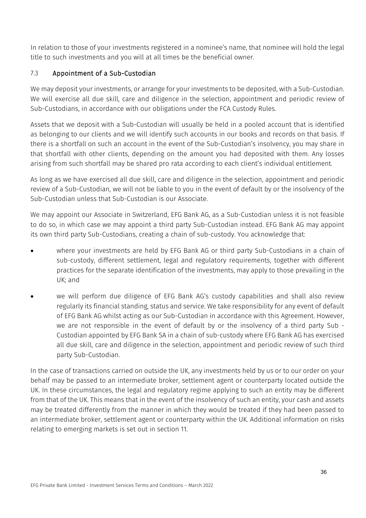In relation to those of your investments registered in a nominee's name, that nominee will hold the legal title to such investments and you will at all times be the beneficial owner.

# <span id="page-36-0"></span>7.3 Appointment of a Sub-Custodian

We may deposit your investments, or arrange for your investments to be deposited, with a Sub-Custodian. We will exercise all due skill, care and diligence in the selection, appointment and periodic review of Sub-Custodians, in accordance with our obligations under the FCA Custody Rules.

Assets that we deposit with a Sub-Custodian will usually be held in a pooled account that is identified as belonging to our clients and we will identify such accounts in our books and records on that basis. If there is a shortfall on such an account in the event of the Sub-Custodian's insolvency, you may share in that shortfall with other clients, depending on the amount you had deposited with them. Any losses arising from such shortfall may be shared pro rata according to each client's individual entitlement.

As long as we have exercised all due skill, care and diligence in the selection, appointment and periodic review of a Sub-Custodian, we will not be liable to you in the event of default by or the insolvency of the Sub-Custodian unless that Sub-Custodian is our Associate.

We may appoint our Associate in Switzerland, EFG Bank AG, as a Sub-Custodian unless it is not feasible to do so, in which case we may appoint a third party Sub-Custodian instead. EFG Bank AG may appoint its own third party Sub-Custodians, creating a chain of sub-custody. You acknowledge that:

- where your investments are held by EFG Bank AG or third party Sub-Custodians in a chain of sub-custody, different settlement, legal and regulatory requirements, together with different practices for the separate identification of the investments, may apply to those prevailing in the UK; and
- we will perform due diligence of EFG Bank AG's custody capabilities and shall also review regularly its financial standing, status and service. We take responsibility for any event of default of EFG Bank AG whilst acting as our Sub-Custodian in accordance with this Agreement. However, we are not responsible in the event of default by or the insolvency of a third party Sub - Custodian appointed by EFG Bank SA in a chain of sub-custody where EFG Bank AG has exercised all due skill, care and diligence in the selection, appointment and periodic review of such third party Sub-Custodian.

In the case of transactions carried on outside the UK, any investments held by us or to our order on your behalf may be passed to an intermediate broker, settlement agent or counterparty located outside the UK. In these circumstances, the legal and regulatory regime applying to such an entity may be different from that of the UK. This means that in the event of the insolvency of such an entity, your cash and assets may be treated differently from the manner in which they would be treated if they had been passed to an intermediate broker, settlement agent or counterparty within the UK. Additional information on risks relating to emerging markets is set out in section [11.](#page-56-0)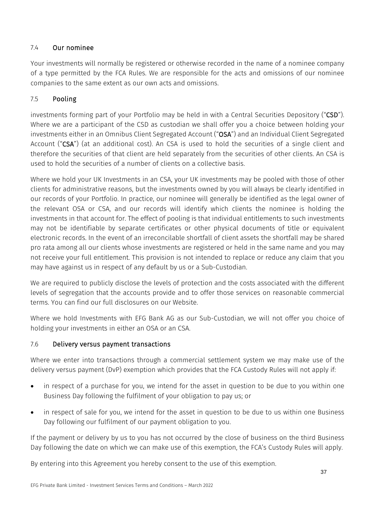# 7.4 Our nominee

Your investments will normally be registered or otherwise recorded in the name of a nominee company of a type permitted by the FCA Rules. We are responsible for the acts and omissions of our nominee companies to the same extent as our own acts and omissions.

# 7.5 Pooling

investments forming part of your Portfolio may be held in with a Central Securities Depository ("CSD"). Where we are a participant of the CSD as custodian we shall offer you a choice between holding your investments either in an Omnibus Client Segregated Account ("OSA") and an Individual Client Segregated Account ("CSA") (at an additional cost). An CSA is used to hold the securities of a single client and therefore the securities of that client are held separately from the securities of other clients. An CSA is used to hold the securities of a number of clients on a collective basis.

Where we hold your UK Investments in an CSA, your UK investments may be pooled with those of other clients for administrative reasons, but the investments owned by you will always be clearly identified in our records of your Portfolio. In practice, our nominee will generally be identified as the legal owner of the relevant OSA or CSA, and our records will identify which clients the nominee is holding the investments in that account for. The effect of pooling is that individual entitlements to such investments may not be identifiable by separate certificates or other physical documents of title or equivalent electronic records. In the event of an irreconcilable shortfall of client assets the shortfall may be shared pro rata among all our clients whose investments are registered or held in the same name and you may not receive your full entitlement. This provision is not intended to replace or reduce any claim that you may have against us in respect of any default by us or a Sub-Custodian.

We are required to publicly disclose the levels of protection and the costs associated with the different levels of segregation that the accounts provide and to offer those services on reasonable commercial terms. You can find our full disclosures on our Website.

Where we hold Investments with EFG Bank AG as our Sub-Custodian, we will not offer you choice of holding your investments in either an OSA or an CSA.

# 7.6 Delivery versus payment transactions

Where we enter into transactions through a commercial settlement system we may make use of the delivery versus payment (DvP) exemption which provides that the FCA Custody Rules will not apply if:

- in respect of a purchase for you, we intend for the asset in question to be due to you within one Business Day following the fulfilment of your obligation to pay us; or
- in respect of sale for you, we intend for the asset in question to be due to us within one Business Day following our fulfilment of our payment obligation to you.

If the payment or delivery by us to you has not occurred by the close of business on the third Business Day following the date on which we can make use of this exemption, the FCA's Custody Rules will apply.

By entering into this Agreement you hereby consent to the use of this exemption.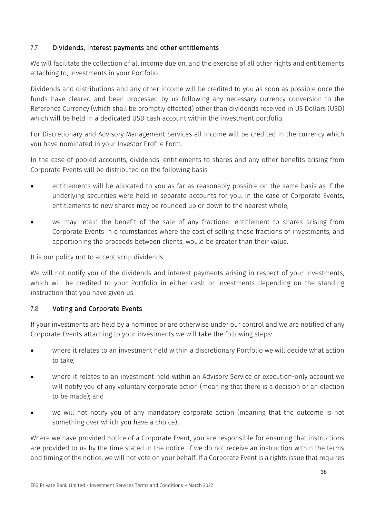# 7.7 Dividends, interest payments and other entitlements

We will facilitate the collection of all income due on, and the exercise of all other rights and entitlements attaching to, investments in your Portfolio.

Dividends and distributions and any other income will be credited to you as soon as possible once the funds have cleared and been processed by us following any necessary currency conversion to the Reference Currency (which shall be promptly effected) other than dividends received in US Dollars (USD) which will be held in a dedicated USD cash account within the investment portfolio.

For Discretionary and Advisory Management Services all income will be credited in the currency which you have nominated in your Investor Profile Form.

In the case of pooled accounts, dividends, entitlements to shares and any other benefits arising from Corporate Events will be distributed on the following basis:

- entitlements will be allocated to you as far as reasonably possible on the same basis as if the underlying securities were held in separate accounts for you. In the case of Corporate Events, entitlements to new shares may be rounded up or down to the nearest whole;
- we may retain the benefit of the sale of any fractional entitlement to shares arising from Corporate Events in circumstances where the cost of selling these fractions of investments, and apportioning the proceeds between clients, would be greater than their value.

It is our policy not to accept scrip dividends.

We will not notify you of the dividends and interest payments arising in respect of your investments, which will be credited to your Portfolio in either cash or investments depending on the standing instruction that you have given us.

# 7.8 Voting and Corporate Events

If your investments are held by a nominee or are otherwise under our control and we are notified of any Corporate Events attaching to your investments we will take the following steps:

- where it relates to an investment held within a discretionary Portfolio we will decide what action to take;
- where it relates to an investment held within an Advisory Service or execution-only account we will notify you of any voluntary corporate action (meaning that there is a decision or an election to be made); and
- we will not notify you of any mandatory corporate action (meaning that the outcome is not something over which you have a choice).

Where we have provided notice of a Corporate Event, you are responsible for ensuring that instructions are provided to us by the time stated in the notice. If we do not receive an instruction within the terms and timing of the notice, we will not vote on your behalf. If a Corporate Event is a rights issue that requires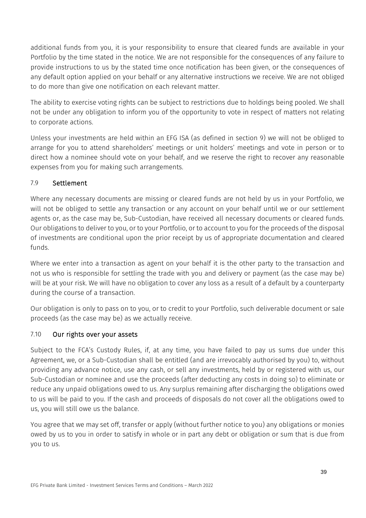additional funds from you, it is your responsibility to ensure that cleared funds are available in your Portfolio by the time stated in the notice. We are not responsible for the consequences of any failure to provide instructions to us by the stated time once notification has been given, or the consequences of any default option applied on your behalf or any alternative instructions we receive. We are not obliged to do more than give one notification on each relevant matter.

The ability to exercise voting rights can be subject to restrictions due to holdings being pooled. We shall not be under any obligation to inform you of the opportunity to vote in respect of matters not relating to corporate actions.

Unless your investments are held within an EFG ISA (as defined in section [9\)](#page-47-0) we will not be obliged to arrange for you to attend shareholders' meetings or unit holders' meetings and vote in person or to direct how a nominee should vote on your behalf, and we reserve the right to recover any reasonable expenses from you for making such arrangements.

# 7.9 Settlement

Where any necessary documents are missing or cleared funds are not held by us in your Portfolio, we will not be obliged to settle any transaction or any account on your behalf until we or our settlement agents or, as the case may be, Sub-Custodian, have received all necessary documents or cleared funds. Our obligations to deliver to you, or to your Portfolio, or to account to you for the proceeds of the disposal of investments are conditional upon the prior receipt by us of appropriate documentation and cleared funds.

Where we enter into a transaction as agent on your behalf it is the other party to the transaction and not us who is responsible for settling the trade with you and delivery or payment (as the case may be) will be at your risk. We will have no obligation to cover any loss as a result of a default by a counterparty during the course of a transaction.

Our obligation is only to pass on to you, or to credit to your Portfolio, such deliverable document or sale proceeds (as the case may be) as we actually receive.

# 7.10 Our rights over your assets

Subject to the FCA's Custody Rules, if, at any time, you have failed to pay us sums due under this Agreement, we, or a Sub-Custodian shall be entitled (and are irrevocably authorised by you) to, without providing any advance notice, use any cash, or sell any investments, held by or registered with us, our Sub-Custodian or nominee and use the proceeds (after deducting any costs in doing so) to eliminate or reduce any unpaid obligations owed to us. Any surplus remaining after discharging the obligations owed to us will be paid to you. If the cash and proceeds of disposals do not cover all the obligations owed to us, you will still owe us the balance.

You agree that we may set off, transfer or apply (without further notice to you) any obligations or monies owed by us to you in order to satisfy in whole or in part any debt or obligation or sum that is due from you to us.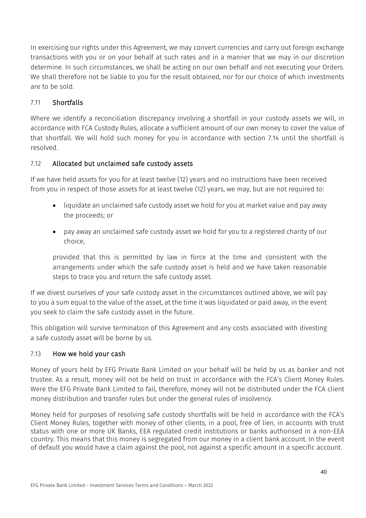In exercising our rights under this Agreement, we may convert currencies and carry out foreign exchange transactions with you or on your behalf at such rates and in a manner that we may in our discretion determine. In such circumstances, we shall be acting on our own behalf and not executing your Orders. We shall therefore not be liable to you for the result obtained, nor for our choice of which investments are to be sold.

# 7.11 Shortfalls

Where we identify a reconciliation discrepancy involving a shortfall in your custody assets we will, in accordance with FCA Custody Rules, allocate a sufficient amount of our own money to cover the value of that shortfall. We will hold such money for you in accordance with section 7.14 until the shortfall is resolved.

# 7.12 Allocated but unclaimed safe custody assets

If we have held assets for you for at least twelve (12) years and no instructions have been received from you in respect of those assets for at least twelve (12) years, we may, but are not required to:

- liquidate an unclaimed safe custody asset we hold for you at market value and pay away the proceeds; or
- pay away an unclaimed safe custody asset we hold for you to a registered charity of our choice,

provided that this is permitted by law in force at the time and consistent with the arrangements under which the safe custody asset is held and we have taken reasonable steps to trace you and return the safe custody asset.

If we divest ourselves of your safe custody asset in the circumstances outlined above, we will pay to you a sum equal to the value of the asset, at the time it was liquidated or paid away, in the event you seek to claim the safe custody asset in the future.

This obligation will survive termination of this Agreement and any costs associated with divesting a safe custody asset will be borne by us.

# 7.13 How we hold your cash

Money of yours held by EFG Private Bank Limited on your behalf will be held by us as banker and not trustee. As a result, money will not be held on trust in accordance with the FCA's Client Money Rules. Were the EFG Private Bank Limited to fail, therefore, money will not be distributed under the FCA client money distribution and transfer rules but under the general rules of insolvency.

Money held for purposes of resolving safe custody shortfalls will be held in accordance with the FCA's Client Money Rules, together with money of other clients, in a pool, free of lien, in accounts with trust status with one or more UK Banks, EEA regulated credit institutions or banks authorised in a non-EEA country. This means that this money is segregated from our money in a client bank account. In the event of default you would have a claim against the pool, not against a specific amount in a specific account.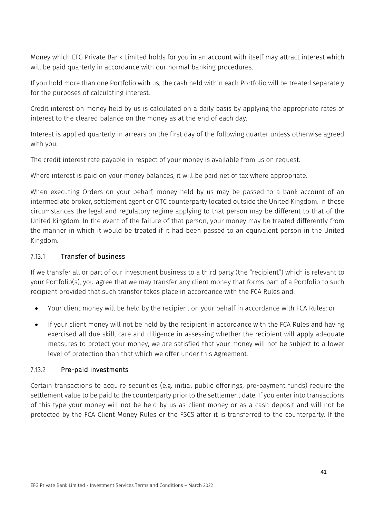Money which EFG Private Bank Limited holds for you in an account with itself may attract interest which will be paid quarterly in accordance with our normal banking procedures.

If you hold more than one Portfolio with us, the cash held within each Portfolio will be treated separately for the purposes of calculating interest.

Credit interest on money held by us is calculated on a daily basis by applying the appropriate rates of interest to the cleared balance on the money as at the end of each day.

Interest is applied quarterly in arrears on the first day of the following quarter unless otherwise agreed with you.

The credit interest rate payable in respect of your money is available from us on request.

Where interest is paid on your money balances, it will be paid net of tax where appropriate.

When executing Orders on your behalf, money held by us may be passed to a bank account of an intermediate broker, settlement agent or OTC counterparty located outside the United Kingdom. In these circumstances the legal and regulatory regime applying to that person may be different to that of the United Kingdom. In the event of the failure of that person, your money may be treated differently from the manner in which it would be treated if it had been passed to an equivalent person in the United Kingdom.

## 7.13.1 Transfer of business

If we transfer all or part of our investment business to a third party (the "recipient") which is relevant to your Portfolio(s), you agree that we may transfer any client money that forms part of a Portfolio to such recipient provided that such transfer takes place in accordance with the FCA Rules and:

- Your client money will be held by the recipient on your behalf in accordance with FCA Rules; or
- If your client money will not be held by the recipient in accordance with the FCA Rules and having exercised all due skill, care and diligence in assessing whether the recipient will apply adequate measures to protect your money, we are satisfied that your money will not be subject to a lower level of protection than that which we offer under this Agreement.

## 7.13.2 Pre-paid investments

Certain transactions to acquire securities (e.g. initial public offerings, pre-payment funds) require the settlement value to be paid to the counterparty prior to the settlement date. If you enter into transactions of this type your money will not be held by us as client money or as a cash deposit and will not be protected by the FCA Client Money Rules or the FSCS after it is transferred to the counterparty. If the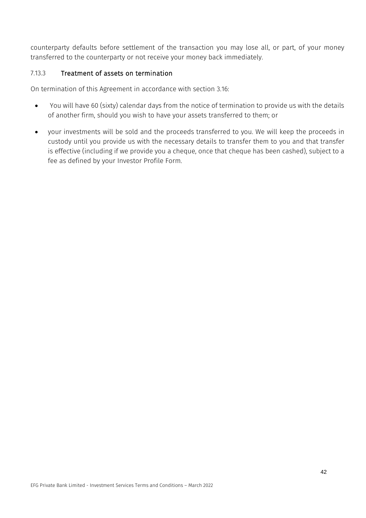counterparty defaults before settlement of the transaction you may lose all, or part, of your money transferred to the counterparty or not receive your money back immediately.

# 7.13.3 Treatment of assets on termination

On termination of this Agreement in accordance with section [3.16:](#page-22-0)

- You will have 60 (sixty) calendar days from the notice of termination to provide us with the details of another firm, should you wish to have your assets transferred to them; or
- your investments will be sold and the proceeds transferred to you. We will keep the proceeds in custody until you provide us with the necessary details to transfer them to you and that transfer is effective (including if we provide you a cheque, once that cheque has been cashed), subject to a fee as defined by your Investor Profile Form.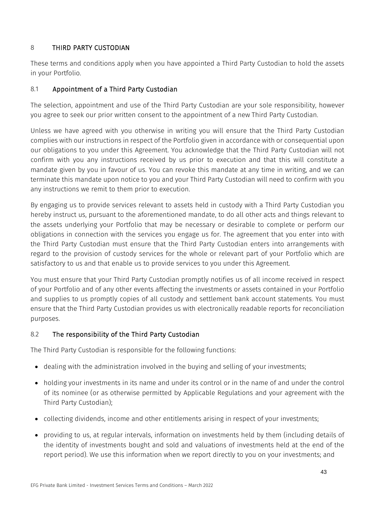# <span id="page-43-0"></span>8 THIRD PARTY CUSTODIAN

These terms and conditions apply when you have appointed a Third Party Custodian to hold the assets in your Portfolio.

# 8.1 Appointment of a Third Party Custodian

The selection, appointment and use of the Third Party Custodian are your sole responsibility, however you agree to seek our prior written consent to the appointment of a new Third Party Custodian.

Unless we have agreed with you otherwise in writing you will ensure that the Third Party Custodian complies with our instructions in respect of the Portfolio given in accordance with or consequential upon our obligations to you under this Agreement. You acknowledge that the Third Party Custodian will not confirm with you any instructions received by us prior to execution and that this will constitute a mandate given by you in favour of us. You can revoke this mandate at any time in writing, and we can terminate this mandate upon notice to you and your Third Party Custodian will need to confirm with you any instructions we remit to them prior to execution.

By engaging us to provide services relevant to assets held in custody with a Third Party Custodian you hereby instruct us, pursuant to the aforementioned mandate, to do all other acts and things relevant to the assets underlying your Portfolio that may be necessary or desirable to complete or perform our obligations in connection with the services you engage us for. The agreement that you enter into with the Third Party Custodian must ensure that the Third Party Custodian enters into arrangements with regard to the provision of custody services for the whole or relevant part of your Portfolio which are satisfactory to us and that enable us to provide services to you under this Agreement.

You must ensure that your Third Party Custodian promptly notifies us of all income received in respect of your Portfolio and of any other events affecting the investments or assets contained in your Portfolio and supplies to us promptly copies of all custody and settlement bank account statements. You must ensure that the Third Party Custodian provides us with electronically readable reports for reconciliation purposes.

# 8.2 The responsibility of the Third Party Custodian

The Third Party Custodian is responsible for the following functions:

- dealing with the administration involved in the buying and selling of your investments;
- holding your investments in its name and under its control or in the name of and under the control of its nominee (or as otherwise permitted by Applicable Regulations and your agreement with the Third Party Custodian);
- collecting dividends, income and other entitlements arising in respect of your investments;
- providing to us, at regular intervals, information on investments held by them (including details of the identity of investments bought and sold and valuations of investments held at the end of the report period). We use this information when we report directly to you on your investments; and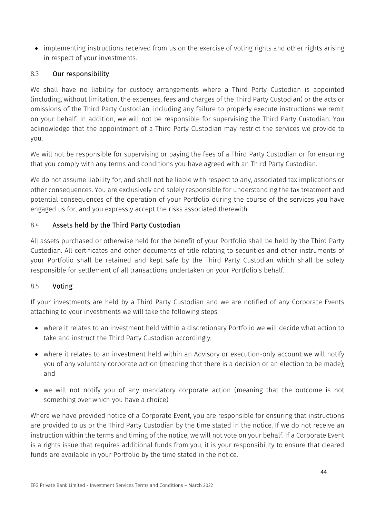• implementing instructions received from us on the exercise of voting rights and other rights arising in respect of your investments.

# 8.3 Our responsibility

We shall have no liability for custody arrangements where a Third Party Custodian is appointed (including, without limitation, the expenses, fees and charges of the Third Party Custodian) or the acts or omissions of the Third Party Custodian, including any failure to properly execute instructions we remit on your behalf. In addition, we will not be responsible for supervising the Third Party Custodian. You acknowledge that the appointment of a Third Party Custodian may restrict the services we provide to you.

We will not be responsible for supervising or paying the fees of a Third Party Custodian or for ensuring that you comply with any terms and conditions you have agreed with an Third Party Custodian.

We do not assume liability for, and shall not be liable with respect to any, associated tax implications or other consequences. You are exclusively and solely responsible for understanding the tax treatment and potential consequences of the operation of your Portfolio during the course of the services you have engaged us for, and you expressly accept the risks associated therewith.

# 8.4 Assets held by the Third Party Custodian

All assets purchased or otherwise held for the benefit of your Portfolio shall be held by the Third Party Custodian. All certificates and other documents of title relating to securities and other instruments of your Portfolio shall be retained and kept safe by the Third Party Custodian which shall be solely responsible for settlement of all transactions undertaken on your Portfolio's behalf.

# 8.5 Voting

If your investments are held by a Third Party Custodian and we are notified of any Corporate Events attaching to your investments we will take the following steps:

- where it relates to an investment held within a discretionary Portfolio we will decide what action to take and instruct the Third Party Custodian accordingly;
- where it relates to an investment held within an Advisory or execution-only account we will notify you of any voluntary corporate action (meaning that there is a decision or an election to be made); and
- we will not notify you of any mandatory corporate action (meaning that the outcome is not something over which you have a choice).

Where we have provided notice of a Corporate Event, you are responsible for ensuring that instructions are provided to us or the Third Party Custodian by the time stated in the notice. If we do not receive an instruction within the terms and timing of the notice, we will not vote on your behalf. If a Corporate Event is a rights issue that requires additional funds from you, it is your responsibility to ensure that cleared funds are available in your Portfolio by the time stated in the notice.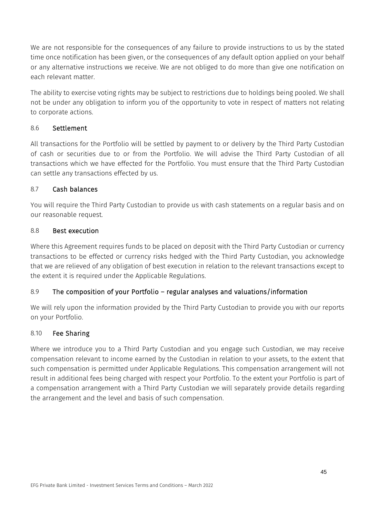We are not responsible for the consequences of any failure to provide instructions to us by the stated time once notification has been given, or the consequences of any default option applied on your behalf or any alternative instructions we receive. We are not obliged to do more than give one notification on each relevant matter.

The ability to exercise voting rights may be subject to restrictions due to holdings being pooled. We shall not be under any obligation to inform you of the opportunity to vote in respect of matters not relating to corporate actions.

## 8.6 Settlement

All transactions for the Portfolio will be settled by payment to or delivery by the Third Party Custodian of cash or securities due to or from the Portfolio. We will advise the Third Party Custodian of all transactions which we have effected for the Portfolio. You must ensure that the Third Party Custodian can settle any transactions effected by us.

## 8.7 Cash balances

You will require the Third Party Custodian to provide us with cash statements on a regular basis and on our reasonable request.

## 8.8 Best execution

Where this Agreement requires funds to be placed on deposit with the Third Party Custodian or currency transactions to be effected or currency risks hedged with the Third Party Custodian, you acknowledge that we are relieved of any obligation of best execution in relation to the relevant transactions except to the extent it is required under the Applicable Regulations.

# 8.9 The composition of your Portfolio – regular analyses and valuations/information

We will rely upon the information provided by the Third Party Custodian to provide you with our reports on your Portfolio.

## 8.10 Fee Sharing

Where we introduce you to a Third Party Custodian and you engage such Custodian, we may receive compensation relevant to income earned by the Custodian in relation to your assets, to the extent that such compensation is permitted under Applicable Regulations. This compensation arrangement will not result in additional fees being charged with respect your Portfolio. To the extent your Portfolio is part of a compensation arrangement with a Third Party Custodian we will separately provide details regarding the arrangement and the level and basis of such compensation.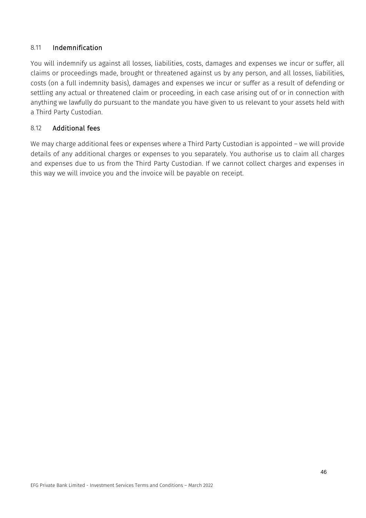#### 8.11 Indemnification

You will indemnify us against all losses, liabilities, costs, damages and expenses we incur or suffer, all claims or proceedings made, brought or threatened against us by any person, and all losses, liabilities, costs (on a full indemnity basis), damages and expenses we incur or suffer as a result of defending or settling any actual or threatened claim or proceeding, in each case arising out of or in connection with anything we lawfully do pursuant to the mandate you have given to us relevant to your assets held with a Third Party Custodian.

## 8.12 Additional fees

We may charge additional fees or expenses where a Third Party Custodian is appointed – we will provide details of any additional charges or expenses to you separately. You authorise us to claim all charges and expenses due to us from the Third Party Custodian. If we cannot collect charges and expenses in this way we will invoice you and the invoice will be payable on receipt.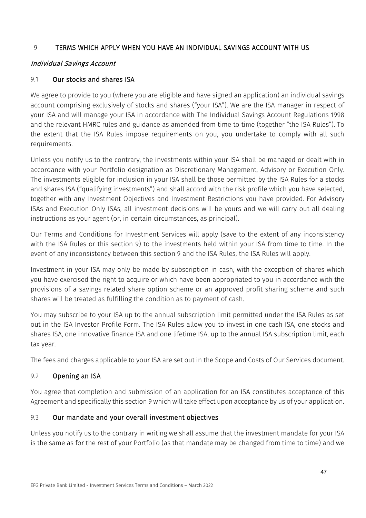# <span id="page-47-0"></span>9 TERMS WHICH APPLY WHEN YOU HAVE AN INDIVIDUAL SAVINGS ACCOUNT WITH US

## Individual Savings Account

## 9.1 Our stocks and shares ISA

We agree to provide to you (where you are eligible and have signed an application) an individual savings account comprising exclusively of stocks and shares ("your ISA"). We are the ISA manager in respect of your ISA and will manage your ISA in accordance with The Individual Savings Account Regulations 1998 and the relevant HMRC rules and guidance as amended from time to time (together "the ISA Rules"). To the extent that the ISA Rules impose requirements on you, you undertake to comply with all such requirements.

Unless you notify us to the contrary, the investments within your ISA shall be managed or dealt with in accordance with your Portfolio designation as Discretionary Management, Advisory or Execution Only. The investments eligible for inclusion in your ISA shall be those permitted by the ISA Rules for a stocks and shares ISA ("qualifying investments") and shall accord with the risk profile which you have selected, together with any Investment Objectives and Investment Restrictions you have provided. For Advisory ISAs and Execution Only ISAs, all investment decisions will be yours and we will carry out all dealing instructions as your agent (or, in certain circumstances, as principal).

Our Terms and Conditions for Investment Services will apply (save to the extent of any inconsistency with the ISA Rules or this section [9\)](#page-47-0) to the investments held within your ISA from time to time. In the event of any inconsistency between this section [9](#page-47-0) and the ISA Rules, the ISA Rules will apply.

Investment in your ISA may only be made by subscription in cash, with the exception of shares which you have exercised the right to acquire or which have been appropriated to you in accordance with the provisions of a savings related share option scheme or an approved profit sharing scheme and such shares will be treated as fulfilling the condition as to payment of cash.

You may subscribe to your ISA up to the annual subscription limit permitted under the ISA Rules as set out in the ISA Investor Profile Form. The ISA Rules allow you to invest in one cash ISA, one stocks and shares ISA, one innovative finance ISA and one lifetime ISA, up to the annual ISA subscription limit, each tax year.

The fees and charges applicable to your ISA are set out in the Scope and Costs of Our Services document.

## 9.2 Opening an ISA

You agree that completion and submission of an application for an ISA constitutes acceptance of this Agreement and specifically this sectio[n 9](#page-47-0) which will take effect upon acceptance by us of your application.

# 9.3 Our mandate and your overall investment objectives

Unless you notify us to the contrary in writing we shall assume that the investment mandate for your ISA is the same as for the rest of your Portfolio (as that mandate may be changed from time to time) and we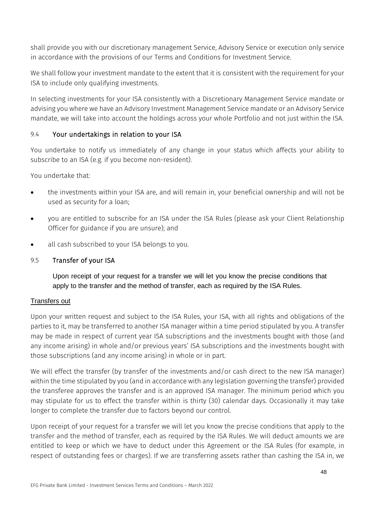shall provide you with our discretionary management Service, Advisory Service or execution only service in accordance with the provisions of our Terms and Conditions for Investment Service.

We shall follow your investment mandate to the extent that it is consistent with the requirement for your ISA to include only qualifying investments.

In selecting investments for your ISA consistently with a Discretionary Management Service mandate or advising you where we have an Advisory Investment Management Service mandate or an Advisory Service mandate, we will take into account the holdings across your whole Portfolio and not just within the ISA.

## 9.4 Your undertakings in relation to your ISA

You undertake to notify us immediately of any change in your status which affects your ability to subscribe to an ISA (e.g. if you become non-resident).

You undertake that:

- the investments within your ISA are, and will remain in, your beneficial ownership and will not be used as security for a loan;
- you are entitled to subscribe for an ISA under the ISA Rules (please ask your Client Relationship Officer for guidance if you are unsure); and
- all cash subscribed to your ISA belongs to you.
- 9.5 Transfer of your ISA

Upon receipt of your request for a transfer we will let you know the precise conditions that apply to the transfer and the method of transfer, each as required by the ISA Rules.

## Transfers out

Upon your written request and subject to the ISA Rules, your ISA, with all rights and obligations of the parties to it, may be transferred to another ISA manager within a time period stipulated by you. A transfer may be made in respect of current year ISA subscriptions and the investments bought with those (and any income arising) in whole and/or previous years' ISA subscriptions and the investments bought with those subscriptions (and any income arising) in whole or in part.

We will effect the transfer (by transfer of the investments and/or cash direct to the new ISA manager) within the time stipulated by you (and in accordance with any legislation governing the transfer) provided the transferee approves the transfer and is an approved ISA manager. The minimum period which you may stipulate for us to effect the transfer within is thirty (30) calendar days. Occasionally it may take longer to complete the transfer due to factors beyond our control.

Upon receipt of your request for a transfer we will let you know the precise conditions that apply to the transfer and the method of transfer, each as required by the ISA Rules. We will deduct amounts we are entitled to keep or which we have to deduct under this Agreement or the ISA Rules (for example, in respect of outstanding fees or charges). If we are transferring assets rather than cashing the ISA in, we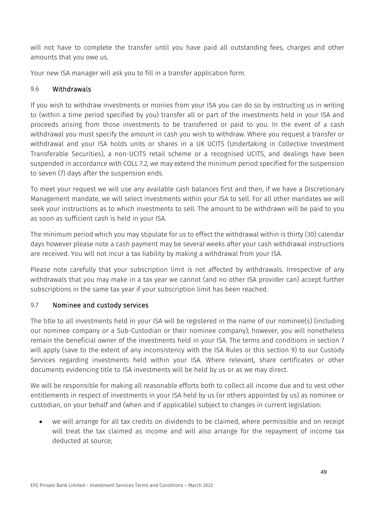will not have to complete the transfer until you have paid all outstanding fees, charges and other amounts that you owe us.

Your new ISA manager will ask you to fill in a transfer application form.

## <span id="page-49-0"></span>9.6 Withdrawals

If you wish to withdraw investments or monies from your ISA you can do so by instructing us in writing to (within a time period specified by you) transfer all or part of the investments held in your ISA and proceeds arising from those investments to be transferred or paid to you. In the event of a cash withdrawal you must specify the amount in cash you wish to withdraw. Where you request a transfer or withdrawal and your ISA holds units or shares in a UK UCITS (Undertaking in Collective Investment Transferable Securities), a non-UCITS retail scheme or a recognised UCITS, and dealings have been suspended in accordance with COLL 7.2, we may extend the minimum period specified for the suspension to seven (7) days after the suspension ends.

To meet your request we will use any available cash balances first and then, if we have a Discretionary Management mandate, we will select investments within your ISA to sell. For all other mandates we will seek your instructions as to which investments to sell. The amount to be withdrawn will be paid to you as soon as sufficient cash is held in your ISA.

The minimum period which you may stipulate for us to effect the withdrawal within is thirty (30) calendar days however please note a cash payment may be several weeks after your cash withdrawal instructions are received. You will not incur a tax liability by making a withdrawal from your ISA.

Please note carefully that your subscription limit is not affected by withdrawals. Irrespective of any withdrawals that you may make in a tax year we cannot (and no other ISA provider can) accept further subscriptions in the same tax year if your subscription limit has been reached.

# 9.7 Nominee and custody services

The title to all investments held in your ISA will be registered in the name of our nominee(s) (including our nominee company or a Sub-Custodian or their nominee company); however, you will nonetheless remain the beneficial owner of the investments held in your ISA. The terms and conditions in section [7](#page-35-0) will apply (save to the extent of any inconsistency with the ISA Rules or this section [9\)](#page-47-0) to our Custody Services regarding investments held within your ISA. Where relevant, share certificates or other documents evidencing title to ISA investments will be held by us or as we may direct.

We will be responsible for making all reasonable efforts both to collect all income due and to vest other entitlements in respect of investments in your ISA held by us (or others appointed by us) as nominee or custodian, on your behalf and (when and if applicable) subject to changes in current legislation:

• we will arrange for all tax credits on dividends to be claimed, where permissible and on receipt will treat the tax claimed as income and will also arrange for the repayment of income tax deducted at source;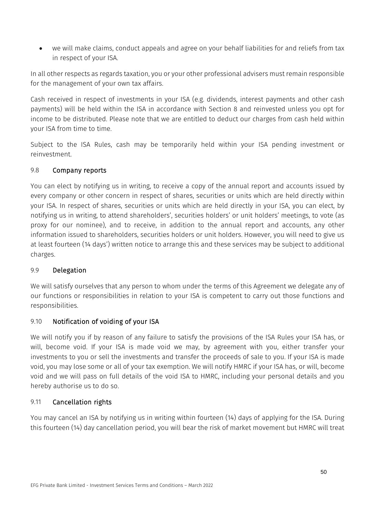• we will make claims, conduct appeals and agree on your behalf liabilities for and reliefs from tax in respect of your ISA.

In all other respects as regards taxation, you or your other professional advisers must remain responsible for the management of your own tax affairs.

Cash received in respect of investments in your ISA (e.g. dividends, interest payments and other cash payments) will be held within the ISA in accordance with Section 8 and reinvested unless you opt for income to be distributed. Please note that we are entitled to deduct our charges from cash held within your ISA from time to time.

Subject to the ISA Rules, cash may be temporarily held within your ISA pending investment or reinvestment.

# 9.8 Company reports

You can elect by notifying us in writing, to receive a copy of the annual report and accounts issued by every company or other concern in respect of shares, securities or units which are held directly within your ISA. In respect of shares, securities or units which are held directly in your ISA, you can elect, by notifying us in writing, to attend shareholders', securities holders' or unit holders' meetings, to vote (as proxy for our nominee), and to receive, in addition to the annual report and accounts, any other information issued to shareholders, securities holders or unit holders. However, you will need to give us at least fourteen (14 days') written notice to arrange this and these services may be subject to additional charges.

# 9.9 Delegation

We will satisfy ourselves that any person to whom under the terms of this Agreement we delegate any of our functions or responsibilities in relation to your ISA is competent to carry out those functions and responsibilities.

# 9.10 Notification of voiding of your ISA

We will notify you if by reason of any failure to satisfy the provisions of the ISA Rules your ISA has, or will, become void. If your ISA is made void we may, by agreement with you, either transfer your investments to you or sell the investments and transfer the proceeds of sale to you. If your ISA is made void, you may lose some or all of your tax exemption. We will notify HMRC if your ISA has, or will, become void and we will pass on full details of the void ISA to HMRC, including your personal details and you hereby authorise us to do so.

# 9.11 Cancellation rights

You may cancel an ISA by notifying us in writing within fourteen (14) days of applying for the ISA. During this fourteen (14) day cancellation period, you will bear the risk of market movement but HMRC will treat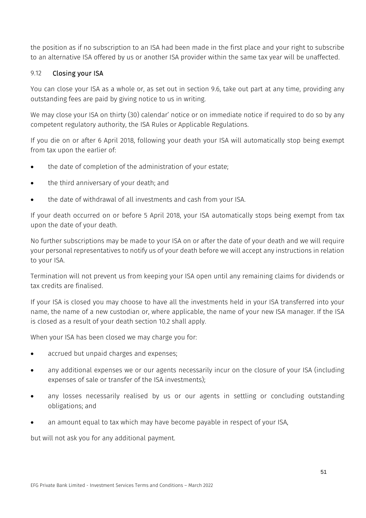the position as if no subscription to an ISA had been made in the first place and your right to subscribe to an alternative ISA offered by us or another ISA provider within the same tax year will be unaffected.

## 9.12 Closing your ISA

You can close your ISA as a whole or, as set out in section [9.6,](#page-49-0) take out part at any time, providing any outstanding fees are paid by giving notice to us in writing.

We may close your ISA on thirty (30) calendar' notice or on immediate notice if required to do so by any competent regulatory authority, the ISA Rules or Applicable Regulations.

If you die on or after 6 April 2018, following your death your ISA will automatically stop being exempt from tax upon the earlier of:

- the date of completion of the administration of your estate;
- the third anniversary of your death; and
- the date of withdrawal of all investments and cash from your ISA.

If your death occurred on or before 5 April 2018, your ISA automatically stops being exempt from tax upon the date of your death.

No further subscriptions may be made to your ISA on or after the date of your death and we will require your personal representatives to notify us of your death before we will accept any instructions in relation to your ISA.

Termination will not prevent us from keeping your ISA open until any remaining claims for dividends or tax credits are finalised.

If your ISA is closed you may choose to have all the investments held in your ISA transferred into your name, the name of a new custodian or, where applicable, the name of your new ISA manager. If the ISA is closed as a result of your death section [10.2](#page-52-0) shall apply.

When your ISA has been closed we may charge you for:

- accrued but unpaid charges and expenses;
- any additional expenses we or our agents necessarily incur on the closure of your ISA (including expenses of sale or transfer of the ISA investments);
- any losses necessarily realised by us or our agents in settling or concluding outstanding obligations; and
- an amount equal to tax which may have become payable in respect of your ISA,

but will not ask you for any additional payment.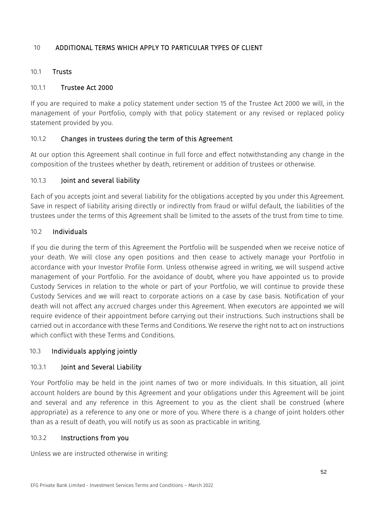# 10 ADDITIONAL TERMS WHICH APPLY TO PARTICULAR TYPES OF CLIENT

#### 10.1 Trusts

#### 10.1.1 Trustee Act 2000

If you are required to make a policy statement under section 15 of the Trustee Act 2000 we will, in the management of your Portfolio, comply with that policy statement or any revised or replaced policy statement provided by you.

## 10.1.2 Changes in trustees during the term of this Agreement

At our option this Agreement shall continue in full force and effect notwithstanding any change in the composition of the trustees whether by death, retirement or addition of trustees or otherwise.

## 10.1.3 Joint and several liability

Each of you accepts joint and several liability for the obligations accepted by you under this Agreement. Save in respect of liability arising directly or indirectly from fraud or wilful default, the liabilities of the trustees under the terms of this Agreement shall be limited to the assets of the trust from time to time.

#### <span id="page-52-0"></span>10.2 Individuals

If you die during the term of this Agreement the Portfolio will be suspended when we receive notice of your death. We will close any open positions and then cease to actively manage your Portfolio in accordance with your Investor Profile Form. Unless otherwise agreed in writing, we will suspend active management of your Portfolio. For the avoidance of doubt, where you have appointed us to provide Custody Services in relation to the whole or part of your Portfolio, we will continue to provide these Custody Services and we will react to corporate actions on a case by case basis. Notification of your death will not affect any accrued charges under this Agreement. When executors are appointed we will require evidence of their appointment before carrying out their instructions. Such instructions shall be carried out in accordance with these Terms and Conditions. We reserve the right not to act on instructions which conflict with these Terms and Conditions.

## 10.3 Individuals applying jointly

## 10.3.1 Joint and Several Liability

Your Portfolio may be held in the joint names of two or more individuals. In this situation, all joint account holders are bound by this Agreement and your obligations under this Agreement will be joint and several and any reference in this Agreement to you as the client shall be construed (where appropriate) as a reference to any one or more of you. Where there is a change of joint holders other than as a result of death, you will notify us as soon as practicable in writing.

#### 10.3.2 Instructions from you

Unless we are instructed otherwise in writing: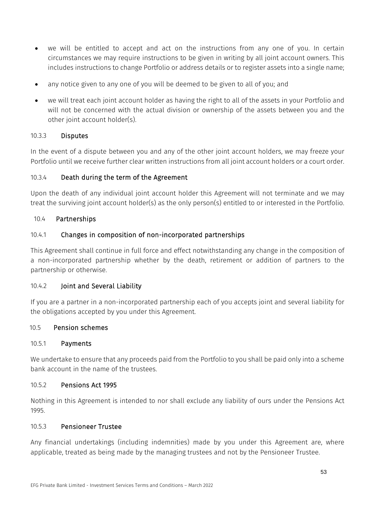- we will be entitled to accept and act on the instructions from any one of you. In certain circumstances we may require instructions to be given in writing by all joint account owners. This includes instructions to change Portfolio or address details or to register assets into a single name;
- any notice given to any one of you will be deemed to be given to all of you; and
- we will treat each joint account holder as having the right to all of the assets in your Portfolio and will not be concerned with the actual division or ownership of the assets between you and the other joint account holder(s).

## 10.3.3 Disputes

In the event of a dispute between you and any of the other joint account holders, we may freeze your Portfolio until we receive further clear written instructions from all joint account holders or a court order.

## 10.3.4 Death during the term of the Agreement

Upon the death of any individual joint account holder this Agreement will not terminate and we may treat the surviving joint account holder(s) as the only person(s) entitled to or interested in the Portfolio.

#### 10.4 Partnerships

## 10.4.1 Changes in composition of non-incorporated partnerships

This Agreement shall continue in full force and effect notwithstanding any change in the composition of a non-incorporated partnership whether by the death, retirement or addition of partners to the partnership or otherwise.

#### 10.4.2 Joint and Several Liability

If you are a partner in a non-incorporated partnership each of you accepts joint and several liability for the obligations accepted by you under this Agreement.

#### 10.5 Pension schemes

#### 10.5.1 Payments

We undertake to ensure that any proceeds paid from the Portfolio to you shall be paid only into a scheme bank account in the name of the trustees.

#### 10.5.2 Pensions Act 1995

Nothing in this Agreement is intended to nor shall exclude any liability of ours under the Pensions Act 1995.

#### 10.5.3 Pensioneer Trustee

Any financial undertakings (including indemnities) made by you under this Agreement are, where applicable, treated as being made by the managing trustees and not by the Pensioneer Trustee.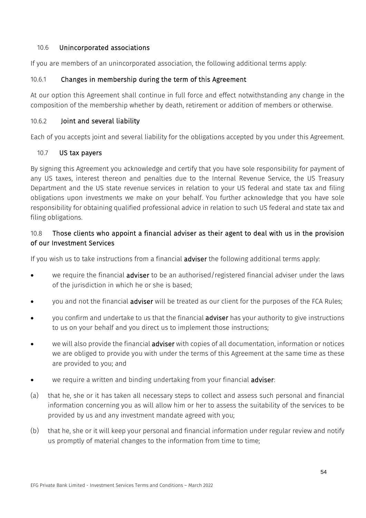## 10.6 Unincorporated associations

If you are members of an unincorporated association, the following additional terms apply:

# 10.6.1 Changes in membership during the term of this Agreement

At our option this Agreement shall continue in full force and effect notwithstanding any change in the composition of the membership whether by death, retirement or addition of members or otherwise.

## 10.6.2 Joint and several liability

Each of you accepts joint and several liability for the obligations accepted by you under this Agreement.

## 10.7 US tax payers

By signing this Agreement you acknowledge and certify that you have sole responsibility for payment of any US taxes, interest thereon and penalties due to the Internal Revenue Service, the US Treasury Department and the US state revenue services in relation to your US federal and state tax and filing obligations upon investments we make on your behalf. You further acknowledge that you have sole responsibility for obtaining qualified professional advice in relation to such US federal and state tax and filing obligations.

# 10.8 Those clients who appoint a financial adviser as their agent to deal with us in the provision of our Investment Services

If you wish us to take instructions from a financial **adviser** the following additional terms apply:

- we require the financial **adviser** to be an authorised/registered financial adviser under the laws of the jurisdiction in which he or she is based;
- you and not the financial **adviser** will be treated as our client for the purposes of the FCA Rules;
- you confirm and undertake to us that the financial adviser has your authority to give instructions to us on your behalf and you direct us to implement those instructions;
- we will also provide the financial adviser with copies of all documentation, information or notices we are obliged to provide you with under the terms of this Agreement at the same time as these are provided to you; and
- we require a written and binding undertaking from your financial adviser:
- (a) that he, she or it has taken all necessary steps to collect and assess such personal and financial information concerning you as will allow him or her to assess the suitability of the services to be provided by us and any investment mandate agreed with you;
- (b) that he, she or it will keep your personal and financial information under regular review and notify us promptly of material changes to the information from time to time;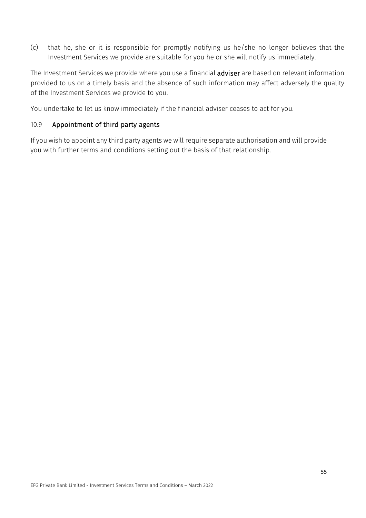(c) that he, she or it is responsible for promptly notifying us he/she no longer believes that the Investment Services we provide are suitable for you he or she will notify us immediately.

The Investment Services we provide where you use a financial **adviser** are based on relevant information provided to us on a timely basis and the absence of such information may affect adversely the quality of the Investment Services we provide to you.

You undertake to let us know immediately if the financial adviser ceases to act for you.

## 10.9 Appointment of third party agents

If you wish to appoint any third party agents we will require separate authorisation and will provide you with further terms and conditions setting out the basis of that relationship.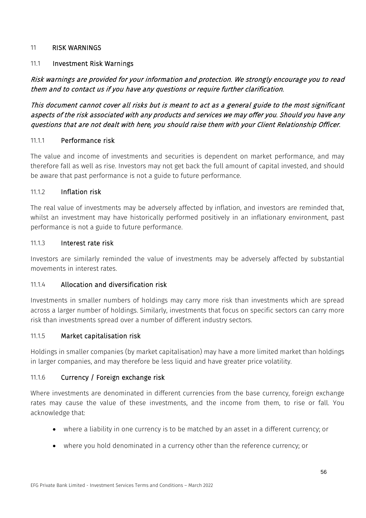#### <span id="page-56-0"></span>11 RISK WARNINGS

## 11.1 Investment Risk Warnings

Risk warnings are provided for your information and protection. We strongly encourage you to read them and to contact us if you have any questions or require further clarification.

This document cannot cover all risks but is meant to act as a general guide to the most significant aspects of the risk associated with any products and services we may offer you. Should you have any questions that are not dealt with here, you should raise them with your Client Relationship Officer.

#### 11.1.1 Performance risk

The value and income of investments and securities is dependent on market performance, and may therefore fall as well as rise. Investors may not get back the full amount of capital invested, and should be aware that past performance is not a guide to future performance.

#### 11.1.2 Inflation risk

The real value of investments may be adversely affected by inflation, and investors are reminded that, whilst an investment may have historically performed positively in an inflationary environment, past performance is not a guide to future performance.

#### 11.1.3 Interest rate risk

Investors are similarly reminded the value of investments may be adversely affected by substantial movements in interest rates.

## 11.1.4 Allocation and diversification risk

Investments in smaller numbers of holdings may carry more risk than investments which are spread across a larger number of holdings. Similarly, investments that focus on specific sectors can carry more risk than investments spread over a number of different industry sectors.

#### 11.1.5 Market capitalisation risk

Holdings in smaller companies (by market capitalisation) may have a more limited market than holdings in larger companies, and may therefore be less liquid and have greater price volatility.

## 11.1.6 Currency / Foreign exchange risk

Where investments are denominated in different currencies from the base currency, foreign exchange rates may cause the value of these investments, and the income from them, to rise or fall. You acknowledge that:

- where a liability in one currency is to be matched by an asset in a different currency; or
- where you hold denominated in a currency other than the reference currency; or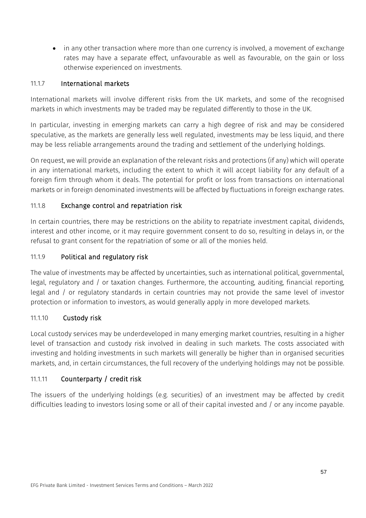• in any other transaction where more than one currency is involved, a movement of exchange rates may have a separate effect, unfavourable as well as favourable, on the gain or loss otherwise experienced on investments.

## 11.1.7 International markets

International markets will involve different risks from the UK markets, and some of the recognised markets in which investments may be traded may be regulated differently to those in the UK.

In particular, investing in emerging markets can carry a high degree of risk and may be considered speculative, as the markets are generally less well regulated, investments may be less liquid, and there may be less reliable arrangements around the trading and settlement of the underlying holdings.

On request, we will provide an explanation of the relevant risks and protections (if any) which will operate in any international markets, including the extent to which it will accept liability for any default of a foreign firm through whom it deals. The potential for profit or loss from transactions on international markets or in foreign denominated investments will be affected by fluctuations in foreign exchange rates.

# 11.1.8 Exchange control and repatriation risk

In certain countries, there may be restrictions on the ability to repatriate investment capital, dividends, interest and other income, or it may require government consent to do so, resulting in delays in, or the refusal to grant consent for the repatriation of some or all of the monies held.

## 11.1.9 Political and regulatory risk

The value of investments may be affected by uncertainties, such as international political, governmental, legal, regulatory and / or taxation changes. Furthermore, the accounting, auditing, financial reporting, legal and / or regulatory standards in certain countries may not provide the same level of investor protection or information to investors, as would generally apply in more developed markets.

## 11.1.10 Custody risk

Local custody services may be underdeveloped in many emerging market countries, resulting in a higher level of transaction and custody risk involved in dealing in such markets. The costs associated with investing and holding investments in such markets will generally be higher than in organised securities markets, and, in certain circumstances, the full recovery of the underlying holdings may not be possible.

# 11.1.11 Counterparty / credit risk

The issuers of the underlying holdings (e.g. securities) of an investment may be affected by credit difficulties leading to investors losing some or all of their capital invested and / or any income payable.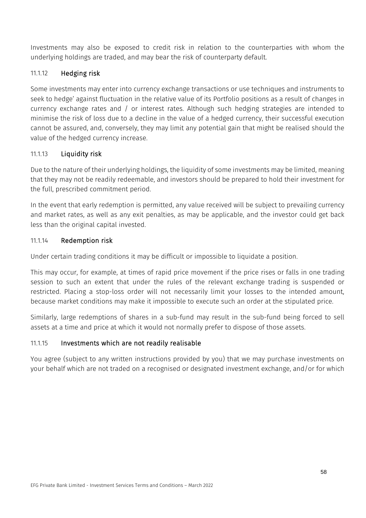Investments may also be exposed to credit risk in relation to the counterparties with whom the underlying holdings are traded, and may bear the risk of counterparty default.

# 11.1.12 Hedging risk

Some investments may enter into currency exchange transactions or use techniques and instruments to seek to hedge' against fluctuation in the relative value of its Portfolio positions as a result of changes in currency exchange rates and / or interest rates. Although such hedging strategies are intended to minimise the risk of loss due to a decline in the value of a hedged currency, their successful execution cannot be assured, and, conversely, they may limit any potential gain that might be realised should the value of the hedged currency increase.

# 11.1.13 Liquidity risk

Due to the nature of their underlying holdings, the liquidity of some investments may be limited, meaning that they may not be readily redeemable, and investors should be prepared to hold their investment for the full, prescribed commitment period.

In the event that early redemption is permitted, any value received will be subject to prevailing currency and market rates, as well as any exit penalties, as may be applicable, and the investor could get back less than the original capital invested.

## 11.1.14 Redemption risk

Under certain trading conditions it may be difficult or impossible to liquidate a position.

This may occur, for example, at times of rapid price movement if the price rises or falls in one trading session to such an extent that under the rules of the relevant exchange trading is suspended or restricted. Placing a stop-loss order will not necessarily limit your losses to the intended amount, because market conditions may make it impossible to execute such an order at the stipulated price.

Similarly, large redemptions of shares in a sub-fund may result in the sub-fund being forced to sell assets at a time and price at which it would not normally prefer to dispose of those assets.

# 11.1.15 Investments which are not readily realisable

You agree (subject to any written instructions provided by you) that we may purchase investments on your behalf which are not traded on a recognised or designated investment exchange, and/or for which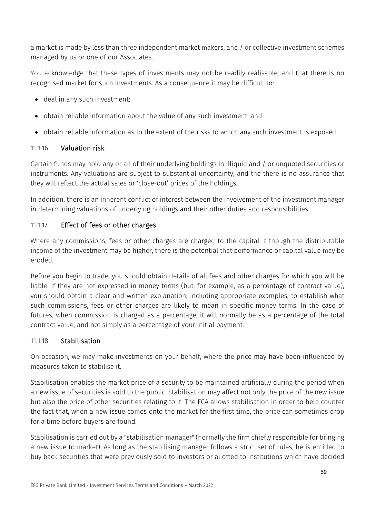a market is made by less than three independent market makers, and / or collective investment schemes managed by us or one of our Associates.

You acknowledge that these types of investments may not be readily realisable, and that there is no recognised market for such investments. As a consequence it may be difficult to:

- deal in any such investment;
- obtain reliable information about the value of any such investment; and
- obtain reliable information as to the extent of the risks to which any such investment is exposed.

## 11.1.16 Valuation risk

Certain funds may hold any or all of their underlying holdings in illiquid and / or unquoted securities or instruments. Any valuations are subject to substantial uncertainty, and the there is no assurance that they will reflect the actual sales or 'close-out' prices of the holdings.

In addition, there is an inherent conflict of interest between the involvement of the investment manager in determining valuations of underlying holdings and their other duties and responsibilities.

# 11.1.17 Effect of fees or other charges

Where any commissions, fees or other charges are charged to the capital, although the distributable income of the investment may be higher, there is the potential that performance or capital value may be eroded.

Before you begin to trade, you should obtain details of all fees and other charges for which you will be liable. If they are not expressed in money terms (but, for example, as a percentage of contract value), you should obtain a clear and written explanation, including appropriate examples, to establish what such commissions, fees or other charges are likely to mean in specific money terms. In the case of futures, when commission is charged as a percentage, it will normally be as a percentage of the total contract value, and not simply as a percentage of your initial payment.

# 11.1.18 Stabilisation

On occasion, we may make investments on your behalf, where the price may have been influenced by measures taken to stabilise it.

Stabilisation enables the market price of a security to be maintained artificially during the period when a new issue of securities is sold to the public. Stabilisation may affect not only the price of the new issue but also the price of other securities relating to it. The FCA allows stabilisation in order to help counter the fact that, when a new issue comes onto the market for the first time, the price can sometimes drop for a time before buyers are found.

Stabilisation is carried out by a "stabilisation manager" (normally the firm chiefly responsible for bringing a new issue to market). As long as the stabilising manager follows a strict set of rules, he is entitled to buy back securities that were previously sold to investors or allotted to institutions which have decided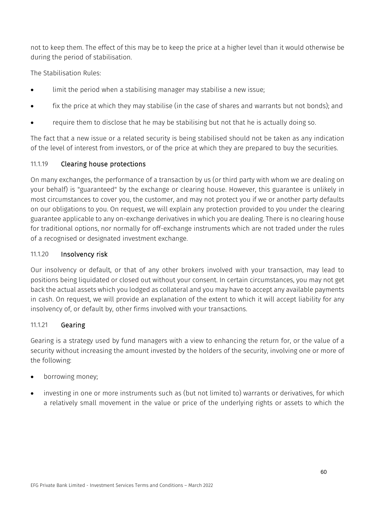not to keep them. The effect of this may be to keep the price at a higher level than it would otherwise be during the period of stabilisation.

The Stabilisation Rules:

- limit the period when a stabilising manager may stabilise a new issue;
- fix the price at which they may stabilise (in the case of shares and warrants but not bonds); and
- require them to disclose that he may be stabilising but not that he is actually doing so.

The fact that a new issue or a related security is being stabilised should not be taken as any indication of the level of interest from investors, or of the price at which they are prepared to buy the securities.

# 11.1.19 Clearing house protections

On many exchanges, the performance of a transaction by us (or third party with whom we are dealing on your behalf) is "guaranteed" by the exchange or clearing house. However, this guarantee is unlikely in most circumstances to cover you, the customer, and may not protect you if we or another party defaults on our obligations to you. On request, we will explain any protection provided to you under the clearing guarantee applicable to any on-exchange derivatives in which you are dealing. There is no clearing house for traditional options, nor normally for off-exchange instruments which are not traded under the rules of a recognised or designated investment exchange.

## 11.1.20 Insolvency risk

Our insolvency or default, or that of any other brokers involved with your transaction, may lead to positions being liquidated or closed out without your consent. In certain circumstances, you may not get back the actual assets which you lodged as collateral and you may have to accept any available payments in cash. On request, we will provide an explanation of the extent to which it will accept liability for any insolvency of, or default by, other firms involved with your transactions.

# 11.1.21 Gearing

Gearing is a strategy used by fund managers with a view to enhancing the return for, or the value of a security without increasing the amount invested by the holders of the security, involving one or more of the following:

- borrowing money;
- investing in one or more instruments such as (but not limited to) warrants or derivatives, for which a relatively small movement in the value or price of the underlying rights or assets to which the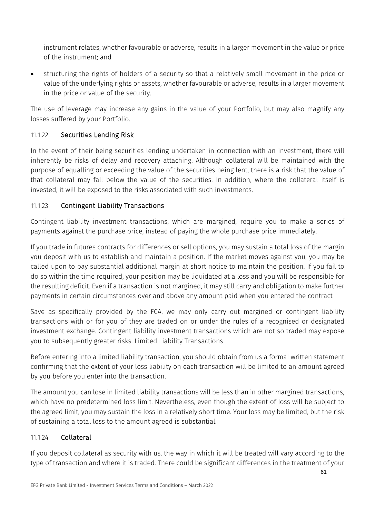instrument relates, whether favourable or adverse, results in a larger movement in the value or price of the instrument; and

• structuring the rights of holders of a security so that a relatively small movement in the price or value of the underlying rights or assets, whether favourable or adverse, results in a larger movement in the price or value of the security.

The use of leverage may increase any gains in the value of your Portfolio, but may also magnify any losses suffered by your Portfolio.

# 11.1.22 Securities Lending Risk

In the event of their being securities lending undertaken in connection with an investment, there will inherently be risks of delay and recovery attaching. Although collateral will be maintained with the purpose of equalling or exceeding the value of the securities being lent, there is a risk that the value of that collateral may fall below the value of the securities. In addition, where the collateral itself is invested, it will be exposed to the risks associated with such investments.

# <span id="page-61-0"></span>11.1.23 Contingent Liability Transactions

Contingent liability investment transactions, which are margined, require you to make a series of payments against the purchase price, instead of paying the whole purchase price immediately.

If you trade in futures contracts for differences or sell options, you may sustain a total loss of the margin you deposit with us to establish and maintain a position. If the market moves against you, you may be called upon to pay substantial additional margin at short notice to maintain the position. If you fail to do so within the time required, your position may be liquidated at a loss and you will be responsible for the resulting deficit. Even if a transaction is not margined, it may still carry and obligation to make further payments in certain circumstances over and above any amount paid when you entered the contract

Save as specifically provided by the FCA, we may only carry out margined or contingent liability transactions with or for you of they are traded on or under the rules of a recognised or designated investment exchange. Contingent liability investment transactions which are not so traded may expose you to subsequently greater risks. Limited Liability Transactions

Before entering into a limited liability transaction, you should obtain from us a formal written statement confirming that the extent of your loss liability on each transaction will be limited to an amount agreed by you before you enter into the transaction.

The amount you can lose in limited liability transactions will be less than in other margined transactions, which have no predetermined loss limit. Nevertheless, even though the extent of loss will be subject to the agreed limit, you may sustain the loss in a relatively short time. Your loss may be limited, but the risk of sustaining a total loss to the amount agreed is substantial.

# 11.1.24 Collateral

If you deposit collateral as security with us, the way in which it will be treated will vary according to the type of transaction and where it is traded. There could be significant differences in the treatment of your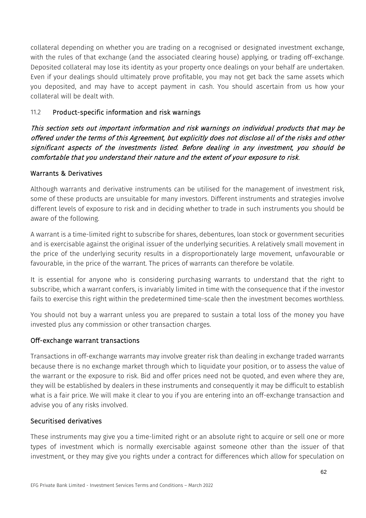collateral depending on whether you are trading on a recognised or designated investment exchange, with the rules of that exchange (and the associated clearing house) applying, or trading off-exchange. Deposited collateral may lose its identity as your property once dealings on your behalf are undertaken. Even if your dealings should ultimately prove profitable, you may not get back the same assets which you deposited, and may have to accept payment in cash. You should ascertain from us how your collateral will be dealt with.

# 11.2 Product-specific information and risk warnings

This section sets out important information and risk warnings on individual products that may be offered under the terms of this Agreement, but explicitly does not disclose all of the risks and other significant aspects of the investments listed. Before dealing in any investment, you should be comfortable that you understand their nature and the extent of your exposure to risk.

## Warrants & Derivatives

Although warrants and derivative instruments can be utilised for the management of investment risk, some of these products are unsuitable for many investors. Different instruments and strategies involve different levels of exposure to risk and in deciding whether to trade in such instruments you should be aware of the following.

A warrant is a time-limited right to subscribe for shares, debentures, loan stock or government securities and is exercisable against the original issuer of the underlying securities. A relatively small movement in the price of the underlying security results in a disproportionately large movement, unfavourable or favourable, in the price of the warrant. The prices of warrants can therefore be volatile.

It is essential for anyone who is considering purchasing warrants to understand that the right to subscribe, which a warrant confers, is invariably limited in time with the consequence that if the investor fails to exercise this right within the predetermined time-scale then the investment becomes worthless.

You should not buy a warrant unless you are prepared to sustain a total loss of the money you have invested plus any commission or other transaction charges.

## Off-exchange warrant transactions

Transactions in off-exchange warrants may involve greater risk than dealing in exchange traded warrants because there is no exchange market through which to liquidate your position, or to assess the value of the warrant or the exposure to risk. Bid and offer prices need not be quoted, and even where they are, they will be established by dealers in these instruments and consequently it may be difficult to establish what is a fair price. We will make it clear to you if you are entering into an off-exchange transaction and advise you of any risks involved.

## Securitised derivatives

These instruments may give you a time-limited right or an absolute right to acquire or sell one or more types of investment which is normally exercisable against someone other than the issuer of that investment, or they may give you rights under a contract for differences which allow for speculation on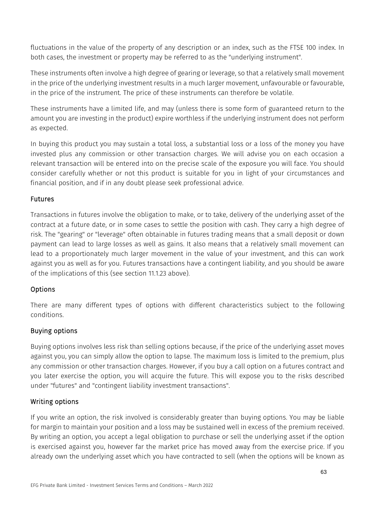fluctuations in the value of the property of any description or an index, such as the FTSE 100 index. In both cases, the investment or property may be referred to as the "underlying instrument".

These instruments often involve a high degree of gearing or leverage, so that a relatively small movement in the price of the underlying investment results in a much larger movement, unfavourable or favourable, in the price of the instrument. The price of these instruments can therefore be volatile.

These instruments have a limited life, and may (unless there is some form of guaranteed return to the amount you are investing in the product) expire worthless if the underlying instrument does not perform as expected.

In buying this product you may sustain a total loss, a substantial loss or a loss of the money you have invested plus any commission or other transaction charges. We will advise you on each occasion a relevant transaction will be entered into on the precise scale of the exposure you will face. You should consider carefully whether or not this product is suitable for you in light of your circumstances and financial position, and if in any doubt please seek professional advice.

## Futures

Transactions in futures involve the obligation to make, or to take, delivery of the underlying asset of the contract at a future date, or in some cases to settle the position with cash. They carry a high degree of risk. The "gearing" or "leverage" often obtainable in futures trading means that a small deposit or down payment can lead to large losses as well as gains. It also means that a relatively small movement can lead to a proportionately much larger movement in the value of your investment, and this can work against you as well as for you. Futures transactions have a contingent liability, and you should be aware of the implications of this (see section [11.1.23](#page-61-0) above).

# Options

There are many different types of options with different characteristics subject to the following conditions.

# Buying options

Buying options involves less risk than selling options because, if the price of the underlying asset moves against you, you can simply allow the option to lapse. The maximum loss is limited to the premium, plus any commission or other transaction charges. However, if you buy a call option on a futures contract and you later exercise the option, you will acquire the future. This will expose you to the risks described under "futures" and "contingent liability investment transactions".

# Writing options

If you write an option, the risk involved is considerably greater than buying options. You may be liable for margin to maintain your position and a loss may be sustained well in excess of the premium received. By writing an option, you accept a legal obligation to purchase or sell the underlying asset if the option is exercised against you, however far the market price has moved away from the exercise price. If you already own the underlying asset which you have contracted to sell (when the options will be known as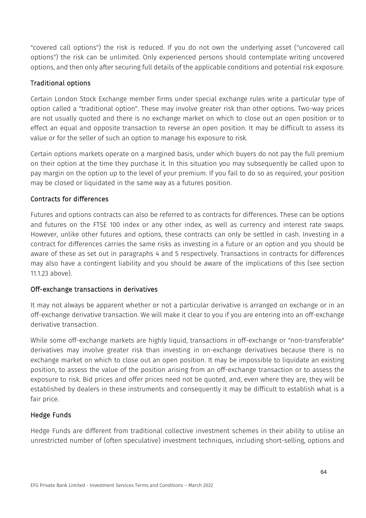"covered call options") the risk is reduced. If you do not own the underlying asset ("uncovered call options") the risk can be unlimited. Only experienced persons should contemplate writing uncovered options, and then only after securing full details of the applicable conditions and potential risk exposure.

## Traditional options

Certain London Stock Exchange member firms under special exchange rules write a particular type of option called a "traditional option". These may involve greater risk than other options. Two-way prices are not usually quoted and there is no exchange market on which to close out an open position or to effect an equal and opposite transaction to reverse an open position. It may be difficult to assess its value or for the seller of such an option to manage his exposure to risk.

Certain options markets operate on a margined basis, under which buyers do not pay the full premium on their option at the time they purchase it. In this situation you may subsequently be called upon to pay margin on the option up to the level of your premium. If you fail to do so as required, your position may be closed or liquidated in the same way as a futures position.

## Contracts for differences

Futures and options contracts can also be referred to as contracts for differences. These can be options and futures on the FTSE 100 index or any other index, as well as currency and interest rate swaps. However, unlike other futures and options, these contracts can only be settled in cash. Investing in a contract for differences carries the same risks as investing in a future or an option and you should be aware of these as set out in paragraphs 4 and 5 respectively. Transactions in contracts for differences may also have a contingent liability and you should be aware of the implications of this (see section [11.1.23](#page-61-0) above).

# Off-exchange transactions in derivatives

It may not always be apparent whether or not a particular derivative is arranged on exchange or in an off-exchange derivative transaction. We will make it clear to you if you are entering into an off-exchange derivative transaction.

While some off-exchange markets are highly liquid, transactions in off-exchange or "non-transferable" derivatives may involve greater risk than investing in on-exchange derivatives because there is no exchange market on which to close out an open position. It may be impossible to liquidate an existing position, to assess the value of the position arising from an off-exchange transaction or to assess the exposure to risk. Bid prices and offer prices need not be quoted, and, even where they are, they will be established by dealers in these instruments and consequently it may be difficult to establish what is a fair price.

# Hedge Funds

Hedge Funds are different from traditional collective investment schemes in their ability to utilise an unrestricted number of (often speculative) investment techniques, including short-selling, options and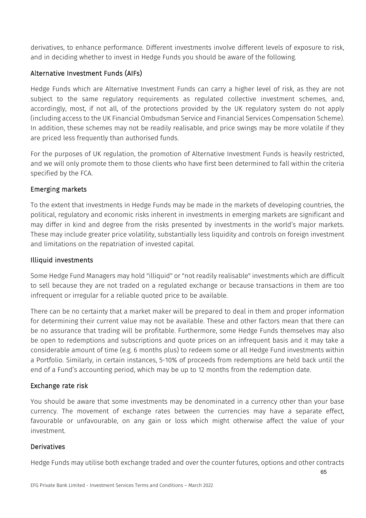derivatives, to enhance performance. Different investments involve different levels of exposure to risk, and in deciding whether to invest in Hedge Funds you should be aware of the following.

# Alternative Investment Funds (AIFs)

Hedge Funds which are Alternative Investment Funds can carry a higher level of risk, as they are not subject to the same regulatory requirements as regulated collective investment schemes, and, accordingly, most, if not all, of the protections provided by the UK regulatory system do not apply (including access to the UK Financial Ombudsman Service and Financial Services Compensation Scheme). In addition, these schemes may not be readily realisable, and price swings may be more volatile if they are priced less frequently than authorised funds.

For the purposes of UK regulation, the promotion of Alternative Investment Funds is heavily restricted, and we will only promote them to those clients who have first been determined to fall within the criteria specified by the FCA.

# Emerging markets

To the extent that investments in Hedge Funds may be made in the markets of developing countries, the political, regulatory and economic risks inherent in investments in emerging markets are significant and may differ in kind and degree from the risks presented by investments in the world's major markets. These may include greater price volatility, substantially less liquidity and controls on foreign investment and limitations on the repatriation of invested capital.

# Illiquid investments

Some Hedge Fund Managers may hold "illiquid" or "not readily realisable" investments which are difficult to sell because they are not traded on a regulated exchange or because transactions in them are too infrequent or irregular for a reliable quoted price to be available.

There can be no certainty that a market maker will be prepared to deal in them and proper information for determining their current value may not be available. These and other factors mean that there can be no assurance that trading will be profitable. Furthermore, some Hedge Funds themselves may also be open to redemptions and subscriptions and quote prices on an infrequent basis and it may take a considerable amount of time (e.g. 6 months plus) to redeem some or all Hedge Fund investments within a Portfolio. Similarly, in certain instances, 5-10% of proceeds from redemptions are held back until the end of a Fund's accounting period, which may be up to 12 months from the redemption date.

# Exchange rate risk

You should be aware that some investments may be denominated in a currency other than your base currency. The movement of exchange rates between the currencies may have a separate effect, favourable or unfavourable, on any gain or loss which might otherwise affect the value of your investment.

# Derivatives

Hedge Funds may utilise both exchange traded and over the counter futures, options and other contracts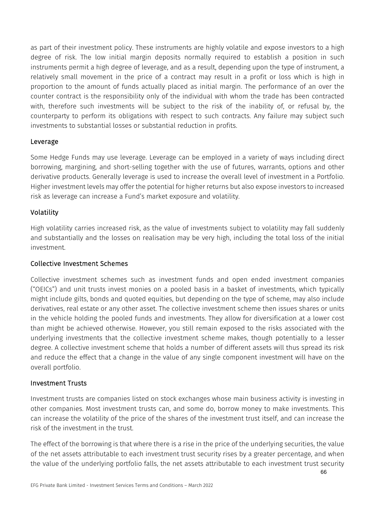as part of their investment policy. These instruments are highly volatile and expose investors to a high degree of risk. The low initial margin deposits normally required to establish a position in such instruments permit a high degree of leverage, and as a result, depending upon the type of instrument, a relatively small movement in the price of a contract may result in a profit or loss which is high in proportion to the amount of funds actually placed as initial margin. The performance of an over the counter contract is the responsibility only of the individual with whom the trade has been contracted with, therefore such investments will be subject to the risk of the inability of, or refusal by, the counterparty to perform its obligations with respect to such contracts. Any failure may subject such investments to substantial losses or substantial reduction in profits.

## Leverage

Some Hedge Funds may use leverage. Leverage can be employed in a variety of ways including direct borrowing, margining, and short-selling together with the use of futures, warrants, options and other derivative products. Generally leverage is used to increase the overall level of investment in a Portfolio. Higher investment levels may offer the potential for higher returns but also expose investors to increased risk as leverage can increase a Fund's market exposure and volatility.

# Volatility

High volatility carries increased risk, as the value of investments subject to volatility may fall suddenly and substantially and the losses on realisation may be very high, including the total loss of the initial investment.

# Collective Investment Schemes

Collective investment schemes such as investment funds and open ended investment companies ("OEICs") and unit trusts invest monies on a pooled basis in a basket of investments, which typically might include gilts, bonds and quoted equities, but depending on the type of scheme, may also include derivatives, real estate or any other asset. The collective investment scheme then issues shares or units in the vehicle holding the pooled funds and investments. They allow for diversification at a lower cost than might be achieved otherwise. However, you still remain exposed to the risks associated with the underlying investments that the collective investment scheme makes, though potentially to a lesser degree. A collective investment scheme that holds a number of different assets will thus spread its risk and reduce the effect that a change in the value of any single component investment will have on the overall portfolio.

# Investment Trusts

Investment trusts are companies listed on stock exchanges whose main business activity is investing in other companies. Most investment trusts can, and some do, borrow money to make investments. This can increase the volatility of the price of the shares of the investment trust itself, and can increase the risk of the investment in the trust.

The effect of the borrowing is that where there is a rise in the price of the underlying securities, the value of the net assets attributable to each investment trust security rises by a greater percentage, and when the value of the underlying portfolio falls, the net assets attributable to each investment trust security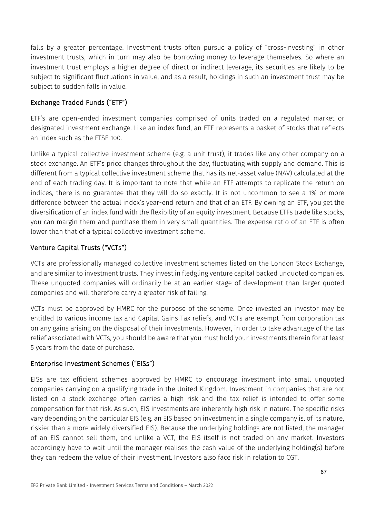falls by a greater percentage. Investment trusts often pursue a policy of "cross-investing" in other investment trusts, which in turn may also be borrowing money to leverage themselves. So where an investment trust employs a higher degree of direct or indirect leverage, its securities are likely to be subject to significant fluctuations in value, and as a result, holdings in such an investment trust may be subject to sudden falls in value.

# Exchange Traded Funds ("ETF")

ETF's are open-ended investment companies comprised of units traded on a regulated market or designated investment exchange. Like an index fund, an ETF represents a basket of stocks that reflects an index such as the FTSE 100.

Unlike a typical collective investment scheme (e.g. a unit trust), it trades like any other company on a stock exchange. An ETF's price changes throughout the day, fluctuating with supply and demand. This is different from a typical collective investment scheme that has its net-asset value (NAV) calculated at the end of each trading day. It is important to note that while an ETF attempts to replicate the return on indices, there is no guarantee that they will do so exactly. It is not uncommon to see a 1% or more difference between the actual index's year-end return and that of an ETF. By owning an ETF, you get the diversification of an index fund with the flexibility of an equity investment. Because ETFs trade like stocks, you can margin them and purchase them in very small quantities. The expense ratio of an ETF is often lower than that of a typical collective investment scheme.

# Venture Capital Trusts ("VCTs")

VCTs are professionally managed collective investment schemes listed on the London Stock Exchange, and are similar to investment trusts. They invest in fledgling venture capital backed unquoted companies. These unquoted companies will ordinarily be at an earlier stage of development than larger quoted companies and will therefore carry a greater risk of failing.

VCTs must be approved by HMRC for the purpose of the scheme. Once invested an investor may be entitled to various income tax and Capital Gains Tax reliefs, and VCTs are exempt from corporation tax on any gains arising on the disposal of their investments. However, in order to take advantage of the tax relief associated with VCTs, you should be aware that you must hold your investments therein for at least 5 years from the date of purchase.

# Enterprise Investment Schemes ("EISs")

EISs are tax efficient schemes approved by HMRC to encourage investment into small unquoted companies carrying on a qualifying trade in the United Kingdom. Investment in companies that are not listed on a stock exchange often carries a high risk and the tax relief is intended to offer some compensation for that risk. As such, EIS investments are inherently high risk in nature. The specific risks vary depending on the particular EIS (e.g. an EIS based on investment in a single company is, of its nature, riskier than a more widely diversified EIS). Because the underlying holdings are not listed, the manager of an EIS cannot sell them, and unlike a VCT, the EIS itself is not traded on any market. Investors accordingly have to wait until the manager realises the cash value of the underlying holding(s) before they can redeem the value of their investment. Investors also face risk in relation to CGT.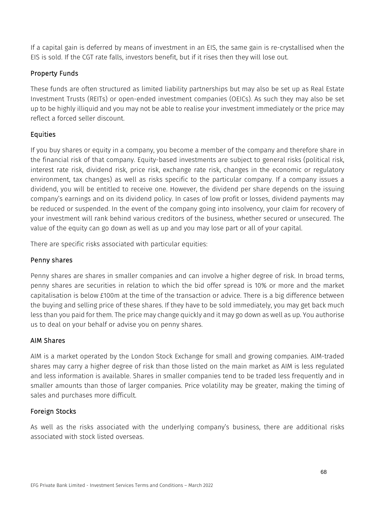If a capital gain is deferred by means of investment in an EIS, the same gain is re-crystallised when the EIS is sold. If the CGT rate falls, investors benefit, but if it rises then they will lose out.

# Property Funds

These funds are often structured as limited liability partnerships but may also be set up as Real Estate Investment Trusts (REITs) or open-ended investment companies (OEICs). As such they may also be set up to be highly illiquid and you may not be able to realise your investment immediately or the price may reflect a forced seller discount.

# **Equities**

If you buy shares or equity in a company, you become a member of the company and therefore share in the financial risk of that company. Equity-based investments are subject to general risks (political risk, interest rate risk, dividend risk, price risk, exchange rate risk, changes in the economic or regulatory environment, tax changes) as well as risks specific to the particular company. If a company issues a dividend, you will be entitled to receive one. However, the dividend per share depends on the issuing company's earnings and on its dividend policy. In cases of low profit or losses, dividend payments may be reduced or suspended. In the event of the company going into insolvency, your claim for recovery of your investment will rank behind various creditors of the business, whether secured or unsecured. The value of the equity can go down as well as up and you may lose part or all of your capital.

There are specific risks associated with particular equities:

# Penny shares

Penny shares are shares in smaller companies and can involve a higher degree of risk. In broad terms, penny shares are securities in relation to which the bid offer spread is 10% or more and the market capitalisation is below £100m at the time of the transaction or advice. There is a big difference between the buying and selling price of these shares. If they have to be sold immediately, you may get back much less than you paid for them. The price may change quickly and it may go down as well as up. You authorise us to deal on your behalf or advise you on penny shares.

# AIM Shares

AIM is a market operated by the London Stock Exchange for small and growing companies. AIM-traded shares may carry a higher degree of risk than those listed on the main market as AIM is less regulated and less information is available. Shares in smaller companies tend to be traded less frequently and in smaller amounts than those of larger companies. Price volatility may be greater, making the timing of sales and purchases more difficult.

# Foreign Stocks

As well as the risks associated with the underlying company's business, there are additional risks associated with stock listed overseas.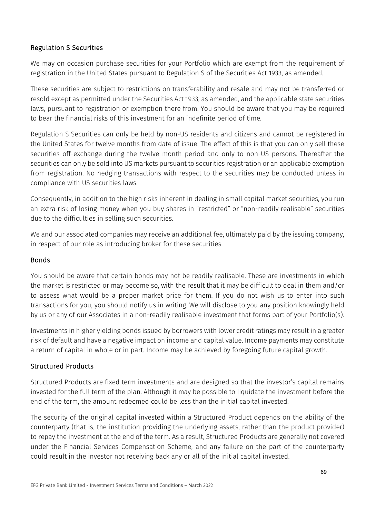## Regulation S Securities

We may on occasion purchase securities for your Portfolio which are exempt from the requirement of registration in the United States pursuant to Regulation S of the Securities Act 1933, as amended.

These securities are subject to restrictions on transferability and resale and may not be transferred or resold except as permitted under the Securities Act 1933, as amended, and the applicable state securities laws, pursuant to registration or exemption there from. You should be aware that you may be required to bear the financial risks of this investment for an indefinite period of time.

Regulation S Securities can only be held by non-US residents and citizens and cannot be registered in the United States for twelve months from date of issue. The effect of this is that you can only sell these securities off-exchange during the twelve month period and only to non-US persons. Thereafter the securities can only be sold into US markets pursuant to securities registration or an applicable exemption from registration. No hedging transactions with respect to the securities may be conducted unless in compliance with US securities laws.

Consequently, in addition to the high risks inherent in dealing in small capital market securities, you run an extra risk of losing money when you buy shares in "restricted" or "non-readily realisable" securities due to the difficulties in selling such securities.

We and our associated companies may receive an additional fee, ultimately paid by the issuing company, in respect of our role as introducing broker for these securities.

## Bonds

You should be aware that certain bonds may not be readily realisable. These are investments in which the market is restricted or may become so, with the result that it may be difficult to deal in them and/or to assess what would be a proper market price for them. If you do not wish us to enter into such transactions for you, you should notify us in writing. We will disclose to you any position knowingly held by us or any of our Associates in a non-readily realisable investment that forms part of your Portfolio(s).

Investments in higher yielding bonds issued by borrowers with lower credit ratings may result in a greater risk of default and have a negative impact on income and capital value. Income payments may constitute a return of capital in whole or in part. Income may be achieved by foregoing future capital growth.

# Structured Products

Structured Products are fixed term investments and are designed so that the investor's capital remains invested for the full term of the plan. Although it may be possible to liquidate the investment before the end of the term, the amount redeemed could be less than the initial capital invested.

The security of the original capital invested within a Structured Product depends on the ability of the counterparty (that is, the institution providing the underlying assets, rather than the product provider) to repay the investment at the end of the term. As a result, Structured Products are generally not covered under the Financial Services Compensation Scheme, and any failure on the part of the counterparty could result in the investor not receiving back any or all of the initial capital invested.